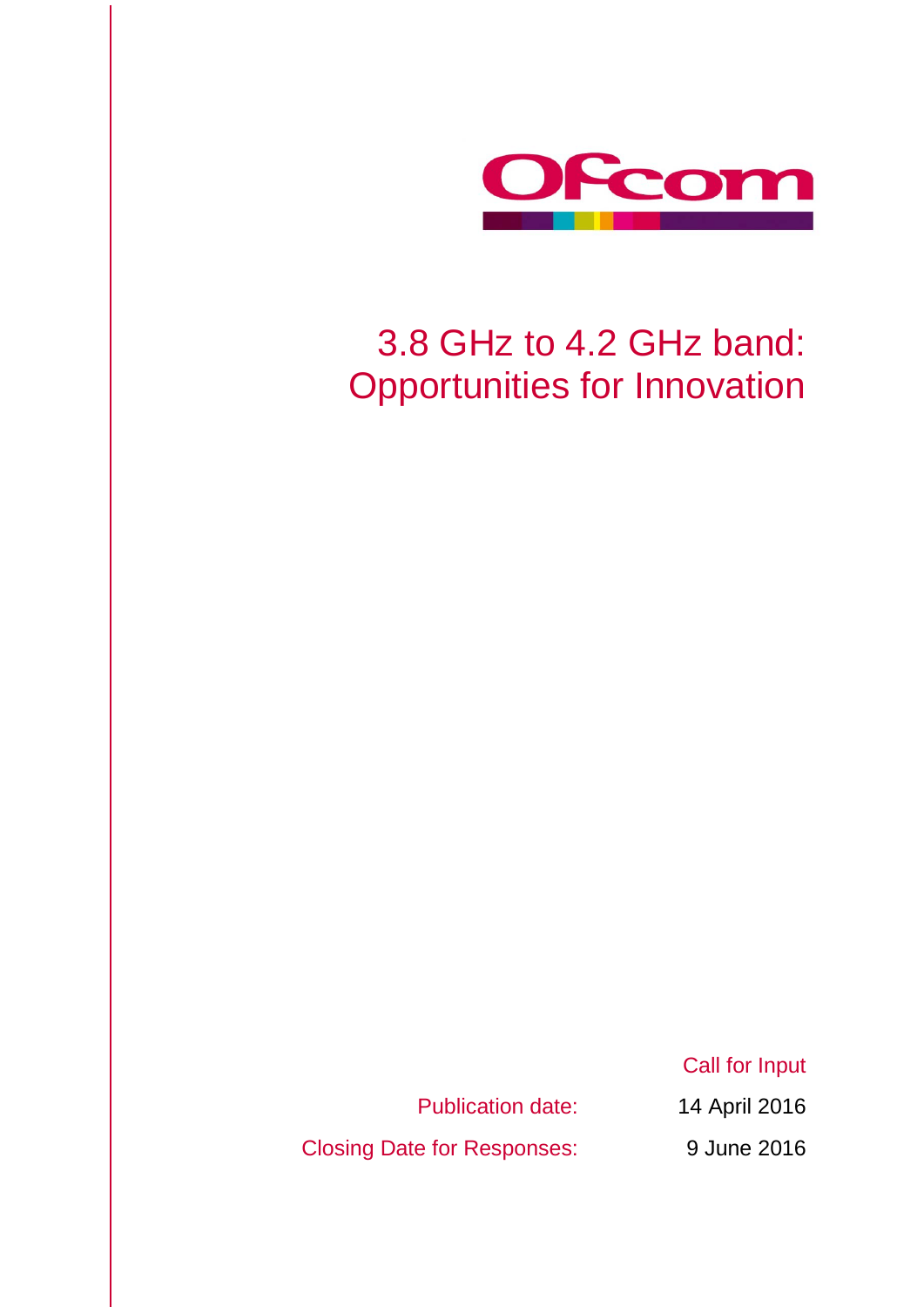

# 3.8 GHz to 4.2 GHz band: Opportunities for Innovation

Publication date: 14 April 2016

Closing Date for Responses: 9 June 2016

Call for Input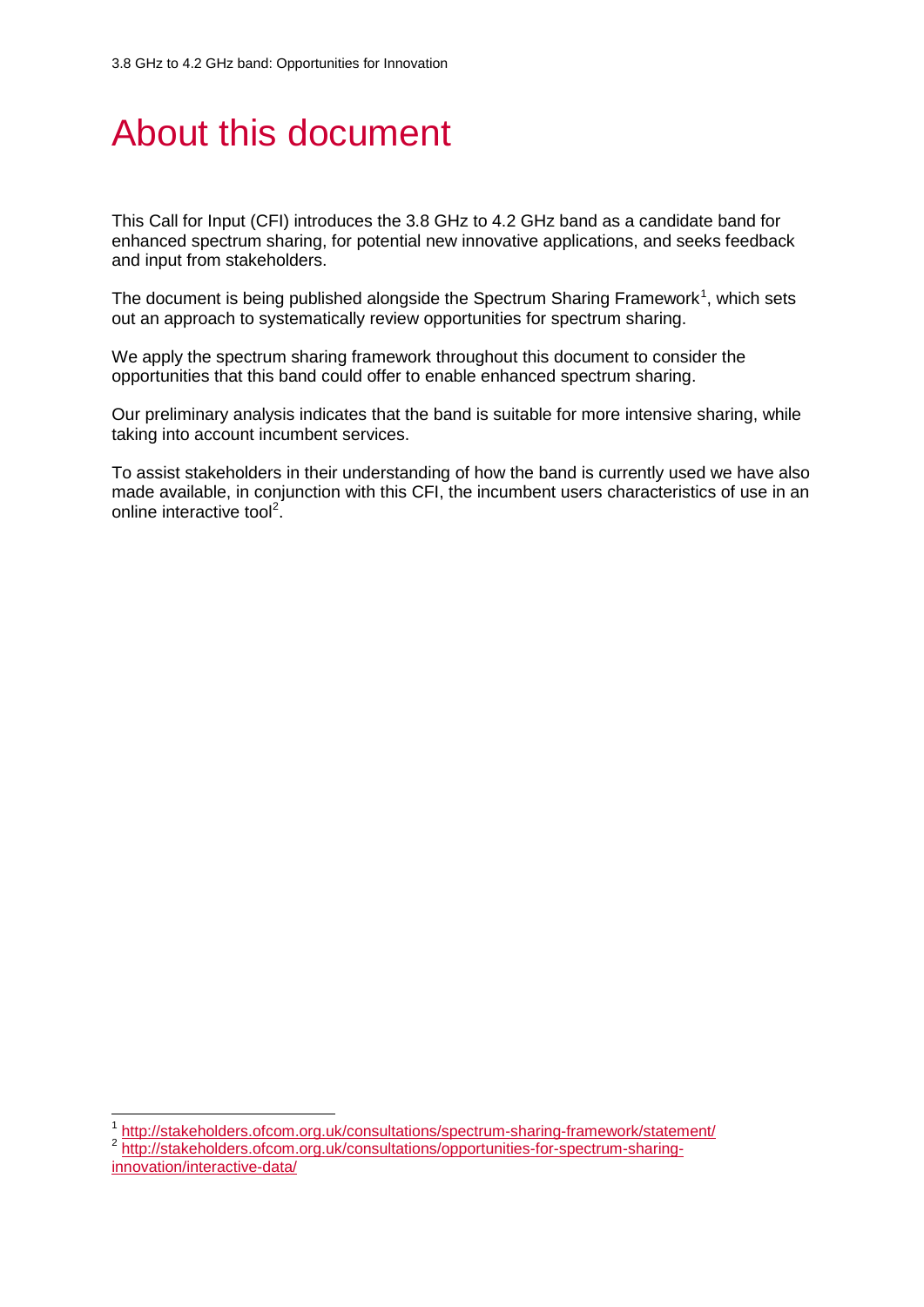# About this document

This Call for Input (CFI) introduces the 3.8 GHz to 4.2 GHz band as a candidate band for enhanced spectrum sharing, for potential new innovative applications, and seeks feedback and input from stakeholders.

The document is being published alongside the Spectrum Sharing Framework<sup>[1](#page-1-0)</sup>, which sets out an approach to systematically review opportunities for spectrum sharing.

We apply the spectrum sharing framework throughout this document to consider the opportunities that this band could offer to enable enhanced spectrum sharing.

Our preliminary analysis indicates that the band is suitable for more intensive sharing, while taking into account incumbent services.

To assist stakeholders in their understanding of how the band is currently used we have also made available, in conjunction with this CFI, the incumbent users characteristics of use in an online interactive tool<sup>[2](#page-1-1)</sup>.

<sup>1</sup> <http://stakeholders.ofcom.org.uk/consultations/spectrum-sharing-framework/statement/>

<span id="page-1-1"></span><span id="page-1-0"></span>2 [http://stakeholders.ofcom.org.uk/consultations/opportunities-for-spectrum-sharing](http://stakeholders.ofcom.org.uk/consultations/opportunities-for-spectrum-sharing-innovation/interactive-data/)[innovation/interactive-data/](http://stakeholders.ofcom.org.uk/consultations/opportunities-for-spectrum-sharing-innovation/interactive-data/)

 $\overline{a}$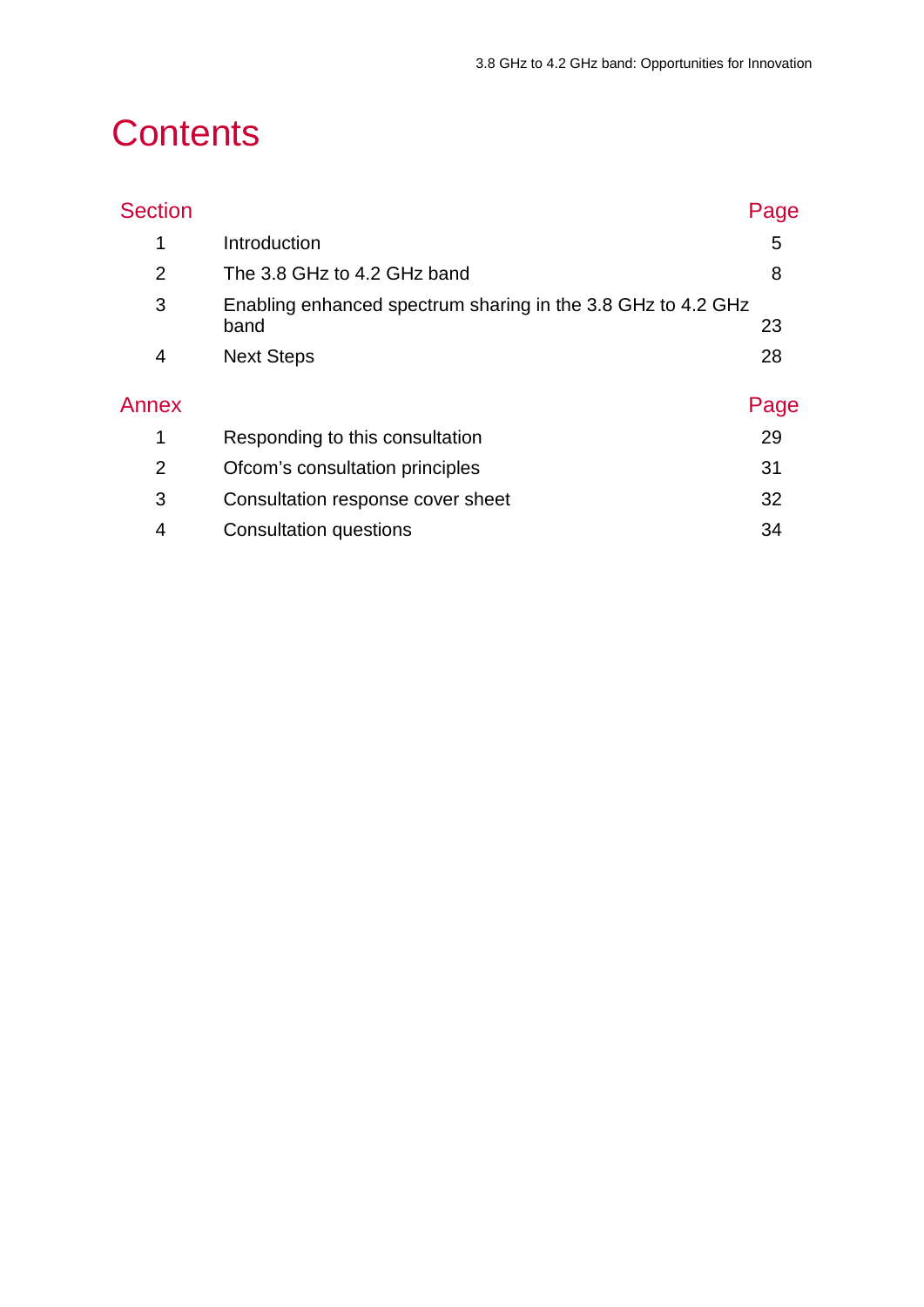# **Contents**

| <b>Section</b> |                                                                      | Page |
|----------------|----------------------------------------------------------------------|------|
| 1              | Introduction                                                         | 5    |
| $\overline{2}$ | The 3.8 GHz to 4.2 GHz band                                          | 8    |
| 3              | Enabling enhanced spectrum sharing in the 3.8 GHz to 4.2 GHz<br>band | 23   |
| 4              | <b>Next Steps</b>                                                    | 28   |
| Annex          |                                                                      | Page |
| 1              | Responding to this consultation                                      | 29   |
| $\overline{2}$ | Ofcom's consultation principles                                      | 31   |
| 3              | Consultation response cover sheet                                    | 32   |
| 4              | Consultation questions                                               | 34   |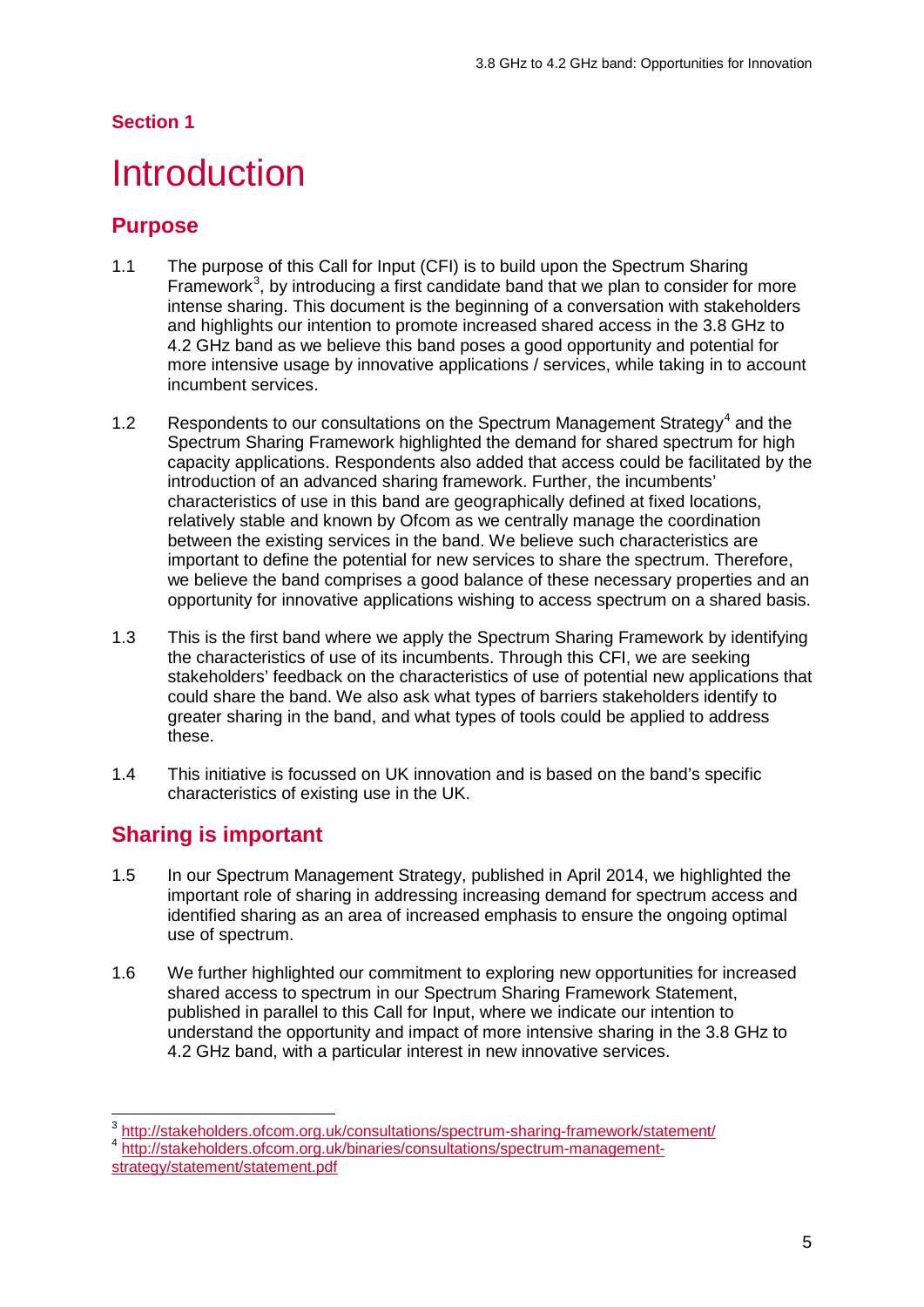#### **Section 1**

## <span id="page-3-0"></span>**Introduction**

## **Purpose**

- 1.1 The purpose of this Call for Input (CFI) is to build upon the Spectrum Sharing Framework<sup>[3](#page-3-1)</sup>, by introducing a first candidate band that we plan to consider for more intense sharing. This document is the beginning of a conversation with stakeholders and highlights our intention to promote increased shared access in the 3.8 GHz to 4.2 GHz band as we believe this band poses a good opportunity and potential for more intensive usage by innovative applications / services, while taking in to account incumbent services.
- 1.2 Respondents to our consultations on the Spectrum Management Strategy<sup>[4](#page-3-2)</sup> and the Spectrum Sharing Framework highlighted the demand for shared spectrum for high capacity applications. Respondents also added that access could be facilitated by the introduction of an advanced sharing framework. Further, the incumbents' characteristics of use in this band are geographically defined at fixed locations, relatively stable and known by Ofcom as we centrally manage the coordination between the existing services in the band. We believe such characteristics are important to define the potential for new services to share the spectrum. Therefore, we believe the band comprises a good balance of these necessary properties and an opportunity for innovative applications wishing to access spectrum on a shared basis.
- 1.3 This is the first band where we apply the Spectrum Sharing Framework by identifying the characteristics of use of its incumbents. Through this CFI, we are seeking stakeholders' feedback on the characteristics of use of potential new applications that could share the band. We also ask what types of barriers stakeholders identify to greater sharing in the band, and what types of tools could be applied to address these.
- 1.4 This initiative is focussed on UK innovation and is based on the band's specific characteristics of existing use in the UK.

## **Sharing is important**

- 1.5 In our Spectrum Management Strategy, published in April 2014, we highlighted the important role of sharing in addressing increasing demand for spectrum access and identified sharing as an area of increased emphasis to ensure the ongoing optimal use of spectrum.
- 1.6 We further highlighted our commitment to exploring new opportunities for increased shared access to spectrum in our Spectrum Sharing Framework Statement, published in parallel to this Call for Input, where we indicate our intention to understand the opportunity and impact of more intensive sharing in the 3.8 GHz to 4.2 GHz band, with a particular interest in new innovative services.

<span id="page-3-2"></span><span id="page-3-1"></span><sup>4</sup> [http://stakeholders.ofcom.org.uk/binaries/consultations/spectrum-management-](http://stakeholders.ofcom.org.uk/binaries/consultations/spectrum-management-strategy/statement/statement.pdf)

<sup>&</sup>lt;sup>3</sup> <http://stakeholders.ofcom.org.uk/consultations/spectrum-sharing-framework/statement/>  $\overline{a}$ 

[strategy/statement/statement.pdf](http://stakeholders.ofcom.org.uk/binaries/consultations/spectrum-management-strategy/statement/statement.pdf)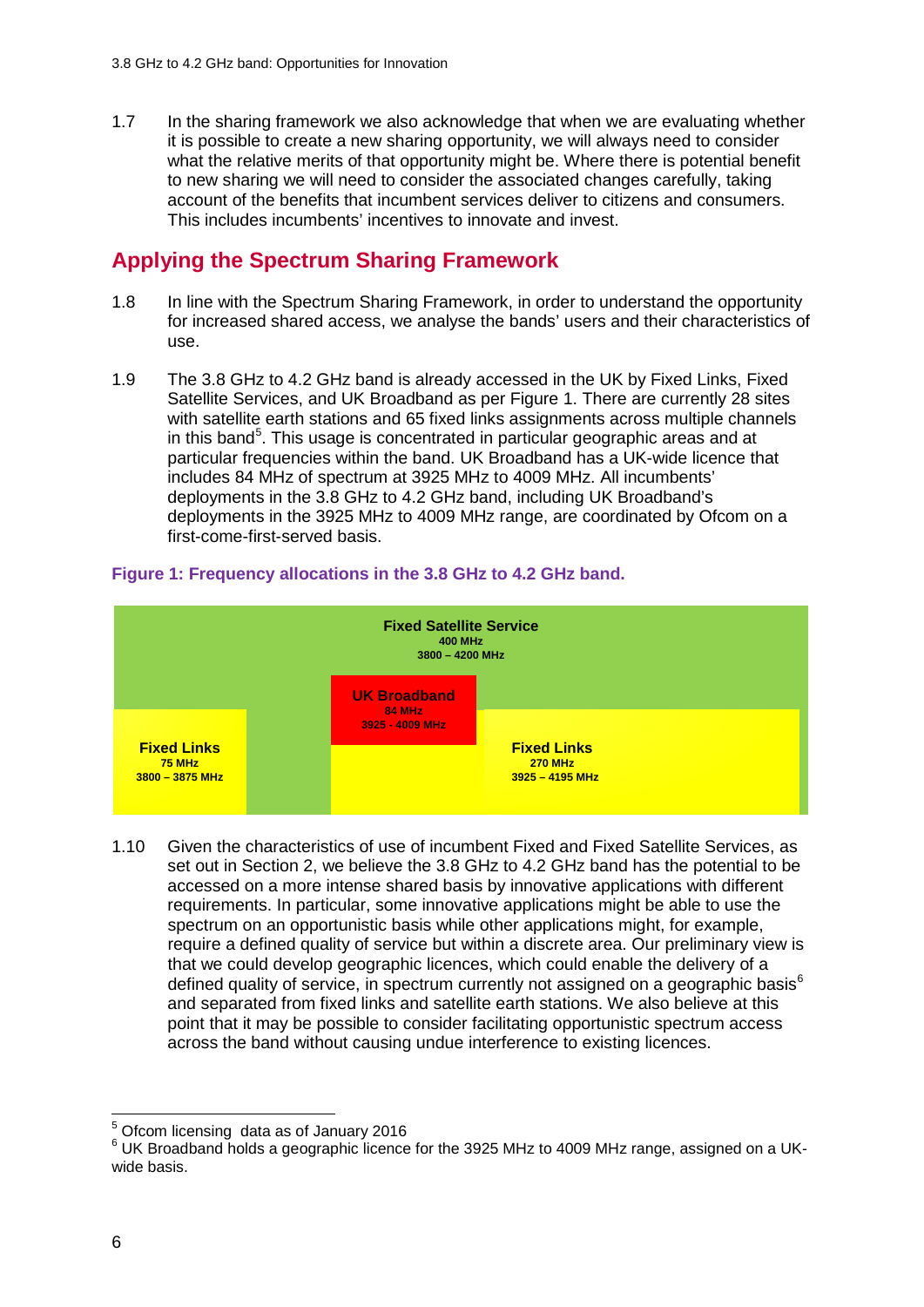1.7 In the sharing framework we also acknowledge that when we are evaluating whether it is possible to create a new sharing opportunity, we will always need to consider what the relative merits of that opportunity might be. Where there is potential benefit to new sharing we will need to consider the associated changes carefully, taking account of the benefits that incumbent services deliver to citizens and consumers. This includes incumbents' incentives to innovate and invest.

## **Applying the Spectrum Sharing Framework**

- 1.8 In line with the Spectrum Sharing Framework, in order to understand the opportunity for increased shared access, we analyse the bands' users and their characteristics of use.
- 1.9 The 3.8 GHz to 4.2 GHz band is already accessed in the UK by Fixed Links, Fixed Satellite Services, and UK Broadband as per Figure 1. There are currently 28 sites with satellite earth stations and 65 fixed links assignments across multiple channels in this band<sup>[5](#page-4-0)</sup>. This usage is concentrated in particular geographic areas and at particular frequencies within the band. UK Broadband has a UK-wide licence that includes 84 MHz of spectrum at 3925 MHz to 4009 MHz. All incumbents' deployments in the 3.8 GHz to 4.2 GHz band, including UK Broadband's deployments in the 3925 MHz to 4009 MHz range, are coordinated by Ofcom on a first-come-first-served basis.



#### **Figure 1: Frequency allocations in the 3.8 GHz to 4.2 GHz band.**

1.10 Given the characteristics of use of incumbent Fixed and Fixed Satellite Services, as set out in Section 2, we believe the 3.8 GHz to 4.2 GHz band has the potential to be accessed on a more intense shared basis by innovative applications with different requirements. In particular, some innovative applications might be able to use the spectrum on an opportunistic basis while other applications might, for example, require a defined quality of service but within a discrete area. Our preliminary view is that we could develop geographic licences, which could enable the delivery of a defined quality of service, in spectrum currently not assigned on a geographic basis<sup>[6](#page-4-1)</sup> and separated from fixed links and satellite earth stations. We also believe at this point that it may be possible to consider facilitating opportunistic spectrum access across the band without causing undue interference to existing licences.

<span id="page-4-0"></span><sup>&</sup>lt;sup>5</sup> Ofcom licensing data as of January 2016

<span id="page-4-1"></span> $6$  UK Broadband holds a geographic licence for the 3925 MHz to 4009 MHz range, assigned on a UKwide basis.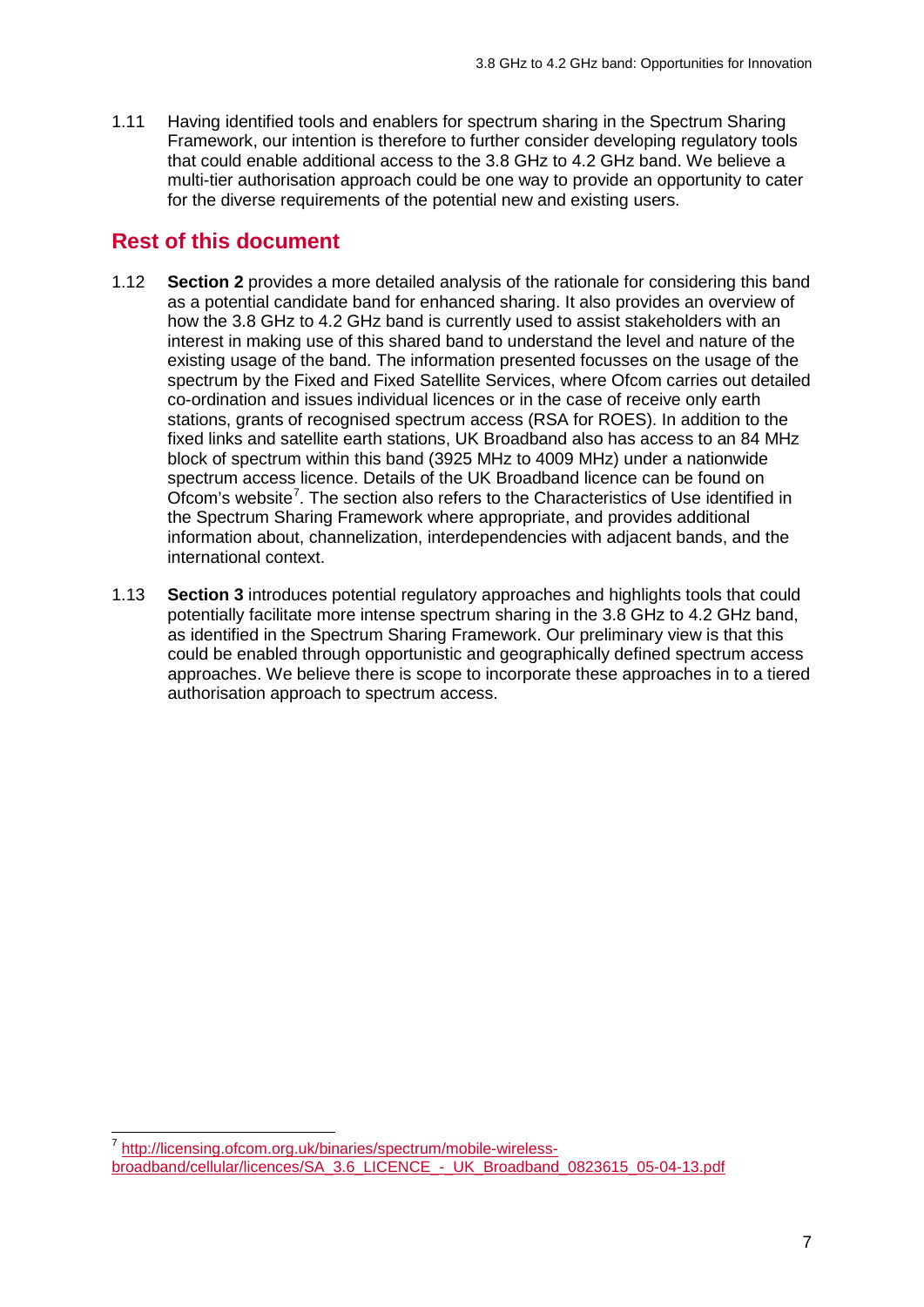1.11 Having identified tools and enablers for spectrum sharing in the Spectrum Sharing Framework, our intention is therefore to further consider developing regulatory tools that could enable additional access to the 3.8 GHz to 4.2 GHz band. We believe a multi-tier authorisation approach could be one way to provide an opportunity to cater for the diverse requirements of the potential new and existing users.

### **Rest of this document**

- 1.12 **Section 2** provides a more detailed analysis of the rationale for considering this band as a potential candidate band for enhanced sharing. It also provides an overview of how the 3.8 GHz to 4.2 GHz band is currently used to assist stakeholders with an interest in making use of this shared band to understand the level and nature of the existing usage of the band. The information presented focusses on the usage of the spectrum by the Fixed and Fixed Satellite Services, where Ofcom carries out detailed co-ordination and issues individual licences or in the case of receive only earth stations, grants of recognised spectrum access (RSA for ROES). In addition to the fixed links and satellite earth stations, UK Broadband also has access to an 84 MHz block of spectrum within this band (3925 MHz to 4009 MHz) under a nationwide spectrum access licence. Details of the UK Broadband licence can be found on Ofcom's website<sup>[7](#page-5-0)</sup>. The section also refers to the Characteristics of Use identified in the Spectrum Sharing Framework where appropriate, and provides additional information about, channelization, interdependencies with adjacent bands, and the international context.
- 1.13 **Section 3** introduces potential regulatory approaches and highlights tools that could potentially facilitate more intense spectrum sharing in the 3.8 GHz to 4.2 GHz band, as identified in the Spectrum Sharing Framework. Our preliminary view is that this could be enabled through opportunistic and geographically defined spectrum access approaches. We believe there is scope to incorporate these approaches in to a tiered authorisation approach to spectrum access.

<span id="page-5-0"></span><sup>&</sup>lt;sup>7</sup> [http://licensing.ofcom.org.uk/binaries/spectrum/mobile-wireless](http://licensing.ofcom.org.uk/binaries/spectrum/mobile-wireless-broadband/cellular/licences/SA_3.6_LICENCE_-_UK_Broadband_0823615_05-04-13.pdf)[broadband/cellular/licences/SA\\_3.6\\_LICENCE\\_-\\_UK\\_Broadband\\_0823615\\_05-04-13.pdf](http://licensing.ofcom.org.uk/binaries/spectrum/mobile-wireless-broadband/cellular/licences/SA_3.6_LICENCE_-_UK_Broadband_0823615_05-04-13.pdf)  $\overline{a}$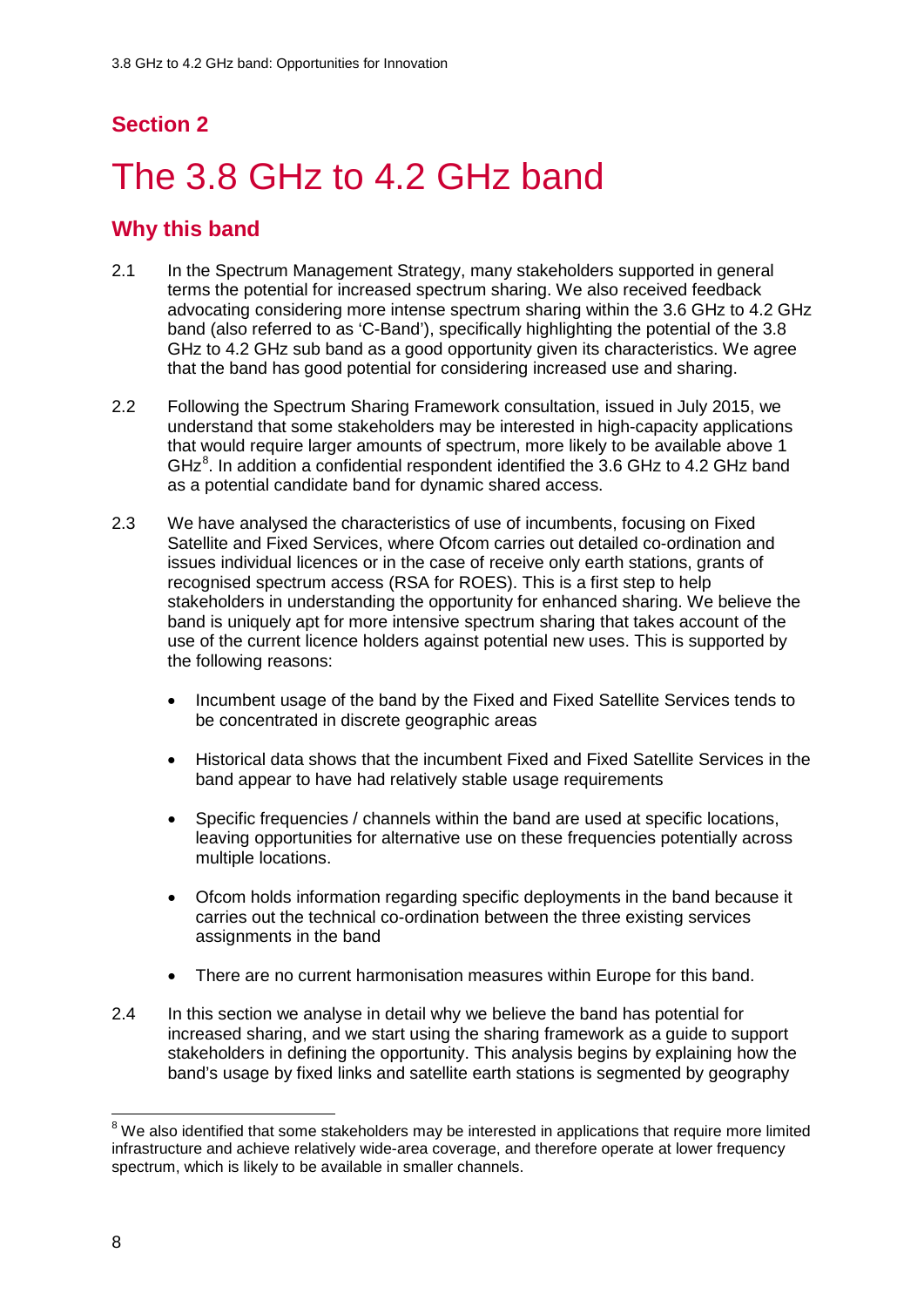## **Section 2**

# <span id="page-6-0"></span>The 3.8 GHz to 4.2 GHz band

## **Why this band**

- 2.1 In the Spectrum Management Strategy, many stakeholders supported in general terms the potential for increased spectrum sharing. We also received feedback advocating considering more intense spectrum sharing within the 3.6 GHz to 4.2 GHz band (also referred to as 'C-Band'), specifically highlighting the potential of the 3.8 GHz to 4.2 GHz sub band as a good opportunity given its characteristics. We agree that the band has good potential for considering increased use and sharing.
- 2.2 Following the Spectrum Sharing Framework consultation, issued in July 2015, we understand that some stakeholders may be interested in high-capacity applications that would require larger amounts of spectrum, more likely to be available above 1 GH $z^8$  $z^8$ . In addition a confidential respondent identified the 3.6 GHz to 4.2 GHz band as a potential candidate band for dynamic shared access.
- 2.3 We have analysed the characteristics of use of incumbents, focusing on Fixed Satellite and Fixed Services, where Ofcom carries out detailed co-ordination and issues individual licences or in the case of receive only earth stations, grants of recognised spectrum access (RSA for ROES). This is a first step to help stakeholders in understanding the opportunity for enhanced sharing. We believe the band is uniquely apt for more intensive spectrum sharing that takes account of the use of the current licence holders against potential new uses. This is supported by the following reasons:
	- Incumbent usage of the band by the Fixed and Fixed Satellite Services tends to be concentrated in discrete geographic areas
	- Historical data shows that the incumbent Fixed and Fixed Satellite Services in the band appear to have had relatively stable usage requirements
	- Specific frequencies / channels within the band are used at specific locations, leaving opportunities for alternative use on these frequencies potentially across multiple locations.
	- Ofcom holds information regarding specific deployments in the band because it carries out the technical co-ordination between the three existing services assignments in the band
	- There are no current harmonisation measures within Europe for this band.
- 2.4 In this section we analyse in detail why we believe the band has potential for increased sharing, and we start using the sharing framework as a guide to support stakeholders in defining the opportunity. This analysis begins by explaining how the band's usage by fixed links and satellite earth stations is segmented by geography

<span id="page-6-1"></span> $8$  We also identified that some stakeholders may be interested in applications that require more limited infrastructure and achieve relatively wide-area coverage, and therefore operate at lower frequency spectrum, which is likely to be available in smaller channels.  $\overline{a}$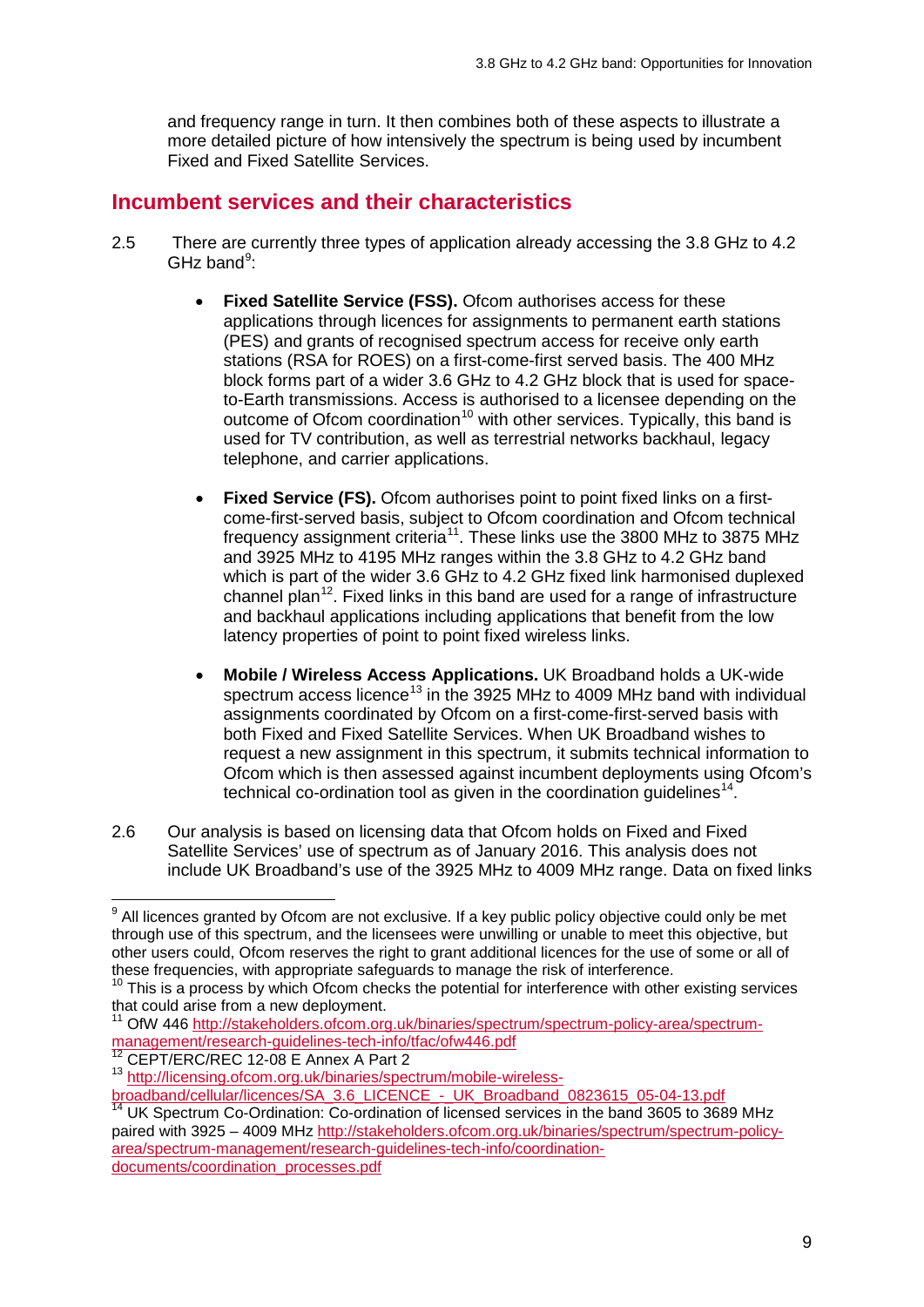and frequency range in turn. It then combines both of these aspects to illustrate a more detailed picture of how intensively the spectrum is being used by incumbent Fixed and Fixed Satellite Services.

### **Incumbent services and their characteristics**

- 2.5 There are currently three types of application already accessing the 3.8 GHz to 4.2 GHz band $9$ :
	- **Fixed Satellite Service (FSS).** Ofcom authorises access for these applications through licences for assignments to permanent earth stations (PES) and grants of recognised spectrum access for receive only earth stations (RSA for ROES) on a first-come-first served basis. The 400 MHz block forms part of a wider 3.6 GHz to 4.2 GHz block that is used for spaceto-Earth transmissions. Access is authorised to a licensee depending on the outcome of Ofcom coordination<sup>[10](#page-7-1)</sup> with other services. Typically, this band is used for TV contribution, as well as terrestrial networks backhaul, legacy telephone, and carrier applications.
	- **Fixed Service (FS).** Ofcom authorises point to point fixed links on a firstcome-first-served basis, subject to Ofcom coordination and Ofcom technical frequency assignment criteria<sup>11</sup>. These links use the 3800 MHz to 3875 MHz and 3925 MHz to 4195 MHz ranges within the 3.8 GHz to 4.2 GHz band which is part of the wider 3.6 GHz to 4.2 GHz fixed link harmonised duplexed channel plan<sup>12</sup>. Fixed links in this band are used for a range of infrastructure and backhaul applications including applications that benefit from the low latency properties of point to point fixed wireless links.
	- **Mobile / Wireless Access Applications.** UK Broadband holds a UK-wide spectrum access licence<sup>[13](#page-7-4)</sup> in the 3925 MHz to 4009 MHz band with individual assignments coordinated by Ofcom on a first-come-first-served basis with both Fixed and Fixed Satellite Services. When UK Broadband wishes to request a new assignment in this spectrum, it submits technical information to Ofcom which is then assessed against incumbent deployments using Ofcom's technical co-ordination tool as given in the coordination guidelines<sup>14</sup>.
- 2.6 Our analysis is based on licensing data that Ofcom holds on Fixed and Fixed Satellite Services' use of spectrum as of January 2016. This analysis does not include UK Broadband's use of the 3925 MHz to 4009 MHz range. Data on fixed links

[documents/coordination\\_processes.pdf](http://stakeholders.ofcom.org.uk/binaries/spectrum/spectrum-policy-area/spectrum-management/research-guidelines-tech-info/coordination-documents/coordination_processes.pdf)

<span id="page-7-0"></span> $9$  All licences granted by Ofcom are not exclusive. If a key public policy objective could only be met through use of this spectrum, and the licensees were unwilling or unable to meet this objective, but other users could, Ofcom reserves the right to grant additional licences for the use of some or all of these frequencies, with appropriate safeguards to manage the risk of interference.<br><sup>10</sup> This is a process by which Ofcom checks the potential for interference with other existing services  $\overline{a}$ 

<span id="page-7-1"></span>that could arise from a new deployment.

<span id="page-7-2"></span><sup>11</sup> OfW 446 [http://stakeholders.ofcom.org.uk/binaries/spectrum/spectrum-policy-area/spectrum](http://stakeholders.ofcom.org.uk/binaries/spectrum/spectrum-policy-area/spectrum-management/research-guidelines-tech-info/tfac/ofw446.pdf)[management/research-guidelines-tech-info/tfac/ofw446.pdf](http://stakeholders.ofcom.org.uk/binaries/spectrum/spectrum-policy-area/spectrum-management/research-guidelines-tech-info/tfac/ofw446.pdf)<br>
<sup>12</sup> CEPT/ERC/REC 12-08 E Annex A Part 2

<span id="page-7-4"></span><span id="page-7-3"></span><sup>13</sup> [http://licensing.ofcom.org.uk/binaries/spectrum/mobile-wireless-](http://licensing.ofcom.org.uk/binaries/spectrum/mobile-wireless-broadband/cellular/licences/SA_3.6_LICENCE_-_UK_Broadband_0823615_05-04-13.pdf)

<span id="page-7-5"></span>[broadband/cellular/licences/SA\\_3.6\\_LICENCE\\_-\\_UK\\_Broadband\\_0823615\\_05-04-13.pdf](http://licensing.ofcom.org.uk/binaries/spectrum/mobile-wireless-broadband/cellular/licences/SA_3.6_LICENCE_-_UK_Broadband_0823615_05-04-13.pdf) <sup>14</sup> UK Spectrum Co-Ordination: Co-ordination of licensed services in the band 3605 to 3689 MHz paired with 3925 – 4009 MHz [http://stakeholders.ofcom.org.uk/binaries/spectrum/spectrum-policy](http://stakeholders.ofcom.org.uk/binaries/spectrum/spectrum-policy-area/spectrum-management/research-guidelines-tech-info/coordination-documents/coordination_processes.pdf)[area/spectrum-management/research-guidelines-tech-info/coordination-](http://stakeholders.ofcom.org.uk/binaries/spectrum/spectrum-policy-area/spectrum-management/research-guidelines-tech-info/coordination-documents/coordination_processes.pdf)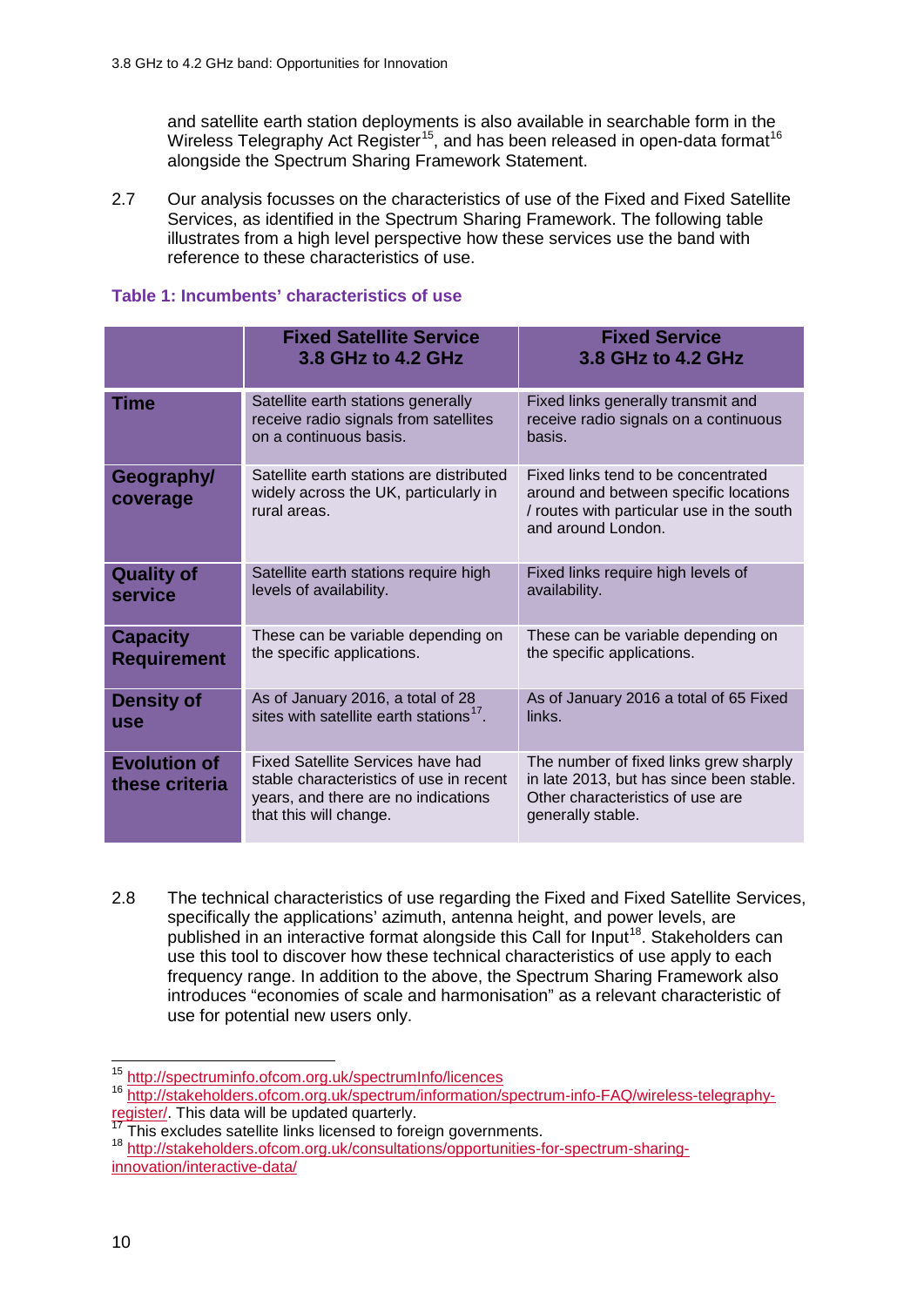and satellite earth station deployments is also available in searchable form in the Wireless Telegraphy Act Register<sup>[15](#page-8-0)</sup>, and has been released in open-data format<sup>16</sup> alongside the Spectrum Sharing Framework Statement.

2.7 Our analysis focusses on the characteristics of use of the Fixed and Fixed Satellite Services, as identified in the Spectrum Sharing Framework. The following table illustrates from a high level perspective how these services use the band with reference to these characteristics of use.

#### **Table 1: Incumbents' characteristics of use**

|                                       | <b>Fixed Satellite Service</b><br>3.8 GHz to 4.2 GHz                                                                                          | <b>Fixed Service</b><br>3.8 GHz to 4.2 GHz                                                                                                      |
|---------------------------------------|-----------------------------------------------------------------------------------------------------------------------------------------------|-------------------------------------------------------------------------------------------------------------------------------------------------|
| Time                                  | Satellite earth stations generally<br>receive radio signals from satellites<br>on a continuous basis.                                         | Fixed links generally transmit and<br>receive radio signals on a continuous<br>basis.                                                           |
| Geography/<br>coverage                | Satellite earth stations are distributed<br>widely across the UK, particularly in<br>rural areas.                                             | Fixed links tend to be concentrated<br>around and between specific locations<br>/ routes with particular use in the south<br>and around London. |
| <b>Quality of</b><br>service          | Satellite earth stations require high<br>levels of availability.                                                                              | Fixed links require high levels of<br>availability.                                                                                             |
| <b>Capacity</b><br><b>Requirement</b> | These can be variable depending on<br>the specific applications.                                                                              | These can be variable depending on<br>the specific applications.                                                                                |
| <b>Density of</b><br><b>use</b>       | As of January 2016, a total of 28<br>sites with satellite earth stations <sup>17</sup> .                                                      | As of January 2016 a total of 65 Fixed<br>links.                                                                                                |
| <b>Evolution of</b><br>these criteria | Fixed Satellite Services have had<br>stable characteristics of use in recent<br>years, and there are no indications<br>that this will change. | The number of fixed links grew sharply<br>in late 2013, but has since been stable.<br>Other characteristics of use are<br>generally stable.     |

<sup>2.8</sup> The technical characteristics of use regarding the Fixed and Fixed Satellite Services, specifically the applications' azimuth, antenna height, and power levels, are published in an interactive format alongside this Call for Input<sup>[18](#page-8-3)</sup>. Stakeholders can use this tool to discover how these technical characteristics of use apply to each frequency range. In addition to the above, the Spectrum Sharing Framework also introduces "economies of scale and harmonisation" as a relevant characteristic of use for potential new users only.

<sup>&</sup>lt;sup>15</sup> http://spectruminfo.ofcom.org.uk/spectrumInfo/licences

<span id="page-8-1"></span><span id="page-8-0"></span><sup>&</sup>lt;sup>16</sup> http://stakeholders.ofcom.org.uk/spectrum/information/spectrum-info-FAQ/wireless-telegraphy-<br>register/. This data will be updated quarterly.

<span id="page-8-3"></span><span id="page-8-2"></span><sup>&</sup>lt;sup>17</sup> This excludes satellite links licensed to foreign governments.<br><sup>18</sup> [http://stakeholders.ofcom.org.uk/consultations/opportunities-for-spectrum-sharing](http://stakeholders.ofcom.org.uk/consultations/opportunities-for-spectrum-sharing-innovation/interactive-data/)[innovation/interactive-data/](http://stakeholders.ofcom.org.uk/consultations/opportunities-for-spectrum-sharing-innovation/interactive-data/)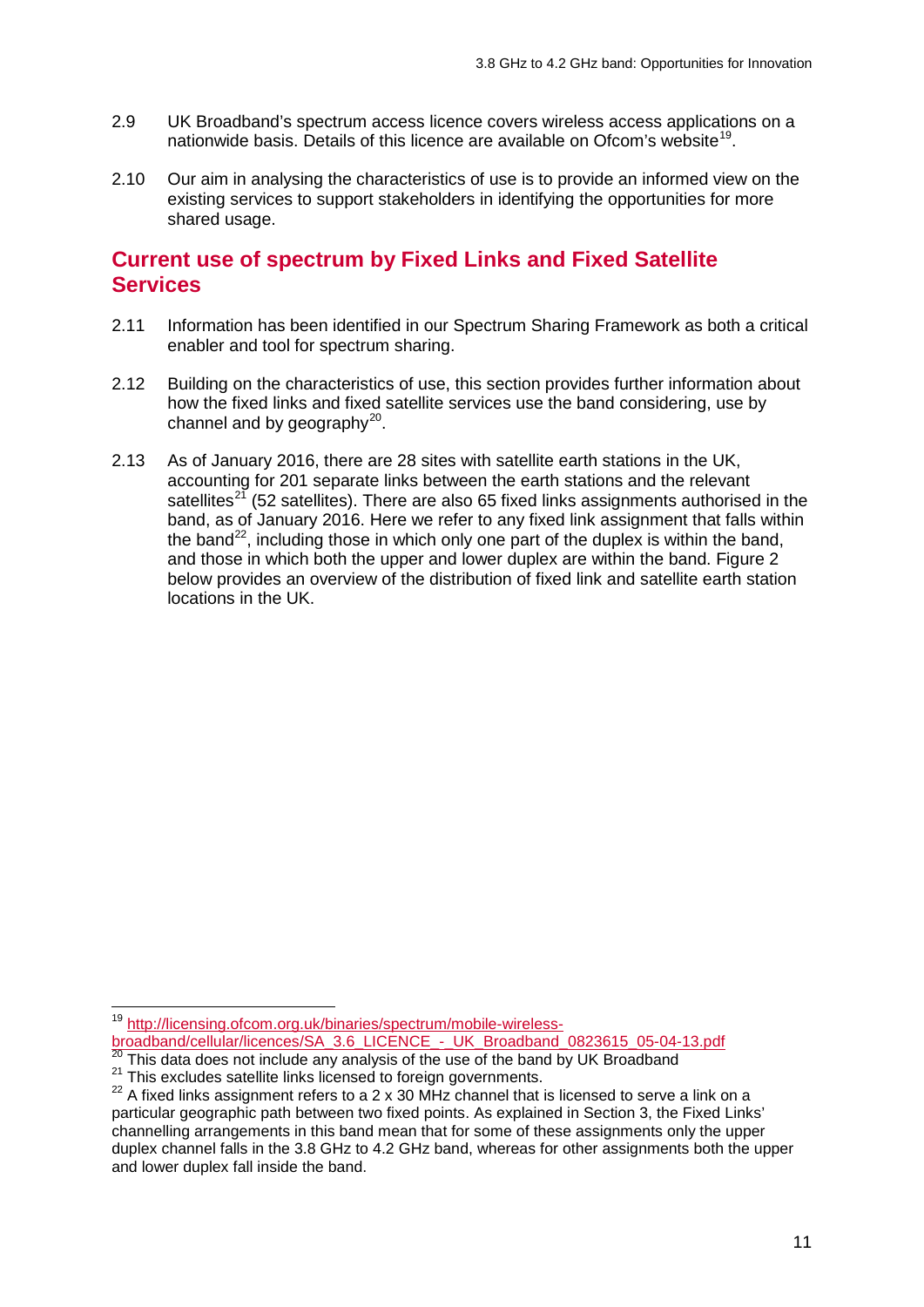- 2.9 UK Broadband's spectrum access licence covers wireless access applications on a nationwide basis. Details of this licence are available on Ofcom's website<sup>[19](#page-9-0)</sup>.
- 2.10 Our aim in analysing the characteristics of use is to provide an informed view on the existing services to support stakeholders in identifying the opportunities for more shared usage.

### **Current use of spectrum by Fixed Links and Fixed Satellite Services**

- 2.11 Information has been identified in our Spectrum Sharing Framework as both a critical enabler and tool for spectrum sharing.
- 2.12 Building on the characteristics of use, this section provides further information about how the fixed links and fixed satellite services use the band considering, use by channel and by geography $^{20}$ .
- 2.13 As of January 2016, there are 28 sites with satellite earth stations in the UK, accounting for 201 separate links between the earth stations and the relevant satellites<sup>[21](#page-9-2)</sup> (52 satellites). There are also 65 fixed links assignments authorised in the band, as of January 2016. Here we refer to any fixed link assignment that falls within the band<sup>[22](#page-9-3)</sup>, including those in which only one part of the duplex is within the band. and those in which both the upper and lower duplex are within the band. Figure 2 below provides an overview of the distribution of fixed link and satellite earth station locations in the UK.

 $\overline{a}$ 

<span id="page-9-0"></span><sup>&</sup>lt;sup>19</sup> [http://licensing.ofcom.org.uk/binaries/spectrum/mobile-wireless](http://licensing.ofcom.org.uk/binaries/spectrum/mobile-wireless-broadband/cellular/licences/SA_3.6_LICENCE_-_UK_Broadband_0823615_05-04-13.pdf)[broadband/cellular/licences/SA\\_3.6\\_LICENCE\\_-\\_UK\\_Broadband\\_0823615\\_05-04-13.pdf](http://licensing.ofcom.org.uk/binaries/spectrum/mobile-wireless-broadband/cellular/licences/SA_3.6_LICENCE_-_UK_Broadband_0823615_05-04-13.pdf)<br><sup>20</sup> This data does not include any analysis of the use of the band by UK Broadband<br><sup>21</sup> This excludes satellite links licensed to foreign gove

<span id="page-9-1"></span>

<span id="page-9-3"></span><span id="page-9-2"></span>particular geographic path between two fixed points. As explained in Section 3, the Fixed Links' channelling arrangements in this band mean that for some of these assignments only the upper duplex channel falls in the 3.8 GHz to 4.2 GHz band, whereas for other assignments both the upper and lower duplex fall inside the band.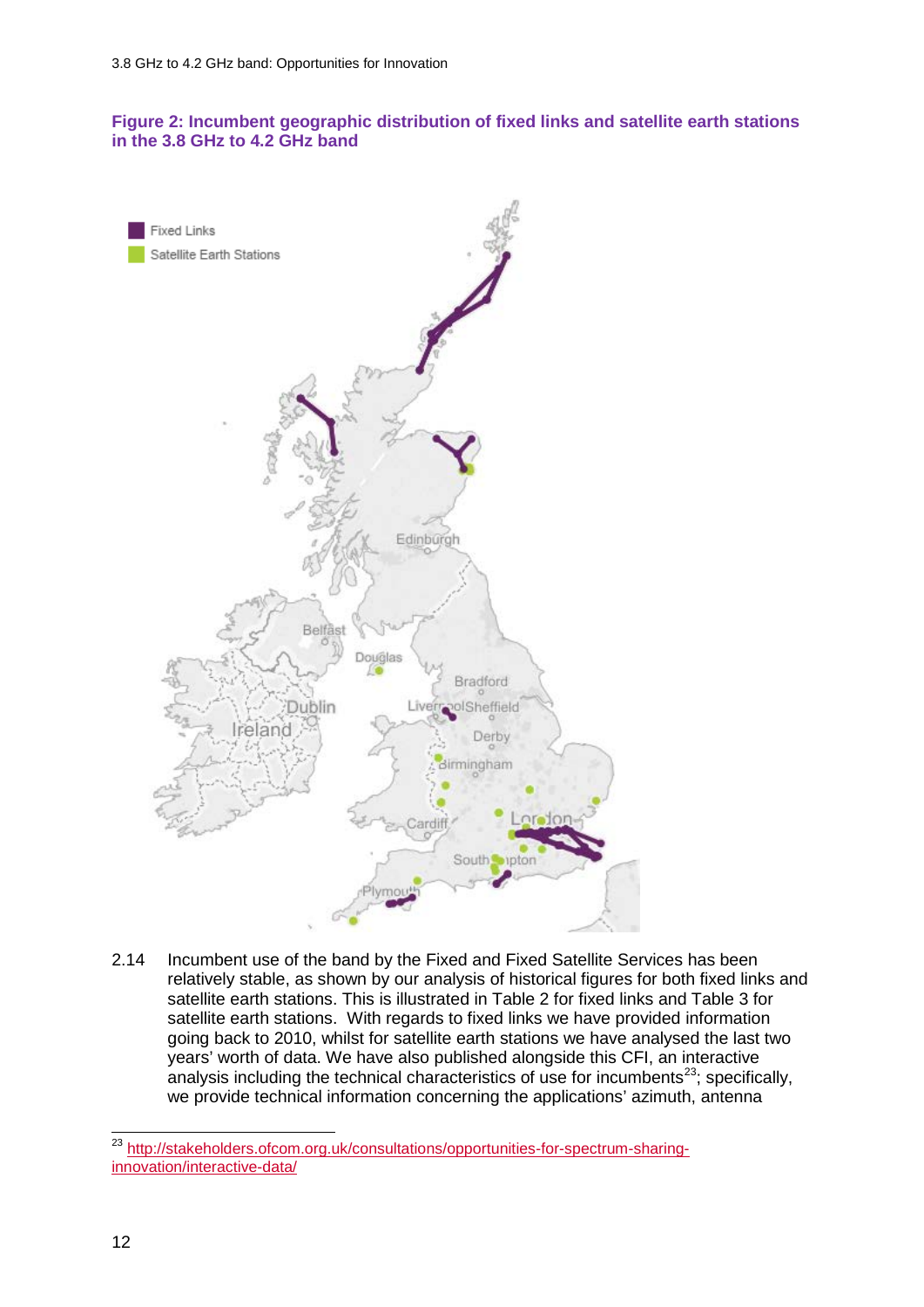#### **Figure 2: Incumbent geographic distribution of fixed links and satellite earth stations in the 3.8 GHz to 4.2 GHz band**



2.14 Incumbent use of the band by the Fixed and Fixed Satellite Services has been relatively stable, as shown by our analysis of historical figures for both fixed links and satellite earth stations. This is illustrated in Table 2 for fixed links and Table 3 for satellite earth stations. With regards to fixed links we have provided information going back to 2010, whilst for satellite earth stations we have analysed the last two years' worth of data. We have also published alongside this CFI, an interactive analysis including the technical characteristics of use for incumbents<sup>23</sup>; specifically, we provide technical information concerning the applications' azimuth, antenna

<span id="page-10-0"></span><sup>&</sup>lt;sup>23</sup> [http://stakeholders.ofcom.org.uk/consultations/opportunities-for-spectrum-sharing](http://stakeholders.ofcom.org.uk/consultations/opportunities-for-spectrum-sharing-innovation/interactive-data/)[innovation/interactive-data/](http://stakeholders.ofcom.org.uk/consultations/opportunities-for-spectrum-sharing-innovation/interactive-data/)  $\overline{a}$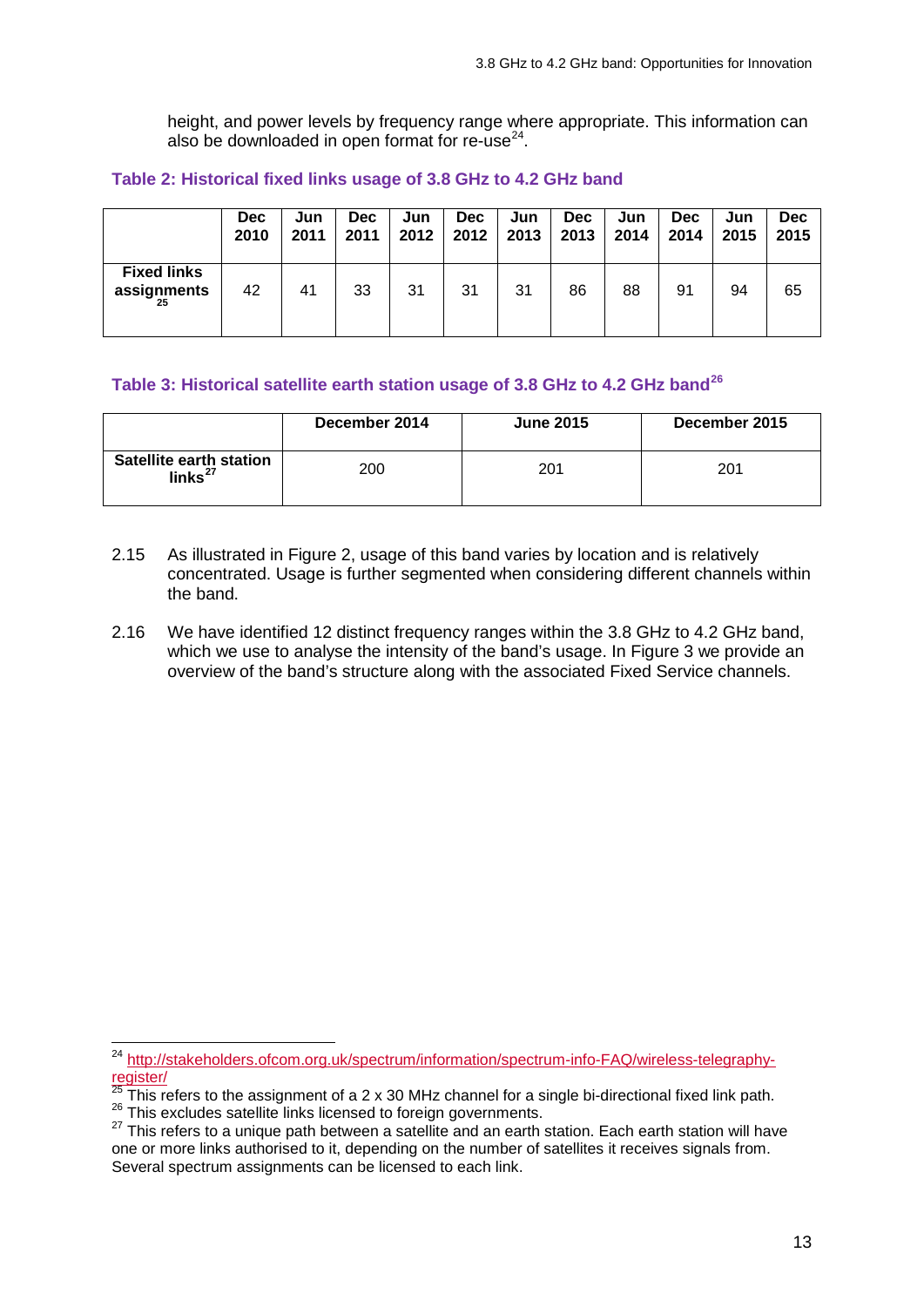height, and power levels by frequency range where appropriate. This information can also be downloaded in open format for re-use $^{24}$ .

#### **Table 2: Historical fixed links usage of 3.8 GHz to 4.2 GHz band**

|                                         | <b>Dec</b> | Jun  | <b>Dec</b> | Jun  | <b>Dec</b> | Jun  | <b>Dec</b> | Jun  | <b>Dec</b> | Jun  | <b>Dec</b> |
|-----------------------------------------|------------|------|------------|------|------------|------|------------|------|------------|------|------------|
|                                         | 2010       | 2011 | 2011       | 2012 | 2012       | 2013 | 2013       | 2014 | 2014       | 2015 | 2015       |
| <b>Fixed links</b><br>assignments<br>25 | 42         | 41   | 33         | 31   | 31         | 31   | 86         | 88   | 91         | 94   | 65         |

#### **Table 3: Historical satellite earth station usage of 3.8 GHz to 4.2 GHz band[26](#page-11-2)**

|                                                  | December 2014 | <b>June 2015</b> | December 2015 |
|--------------------------------------------------|---------------|------------------|---------------|
| Satellite earth station<br>$\mathsf{links}^{27}$ | 200           | 201              | 201           |

- 2.15 As illustrated in Figure 2, usage of this band varies by location and is relatively concentrated. Usage is further segmented when considering different channels within the band.
- 2.16 We have identified 12 distinct frequency ranges within the 3.8 GHz to 4.2 GHz band, which we use to analyse the intensity of the band's usage. In Figure 3 we provide an overview of the band's structure along with the associated Fixed Service channels.

<span id="page-11-0"></span><sup>&</sup>lt;sup>24</sup> [http://stakeholders.ofcom.org.uk/spectrum/information/spectrum-info-FAQ/wireless-telegraphy](http://stakeholders.ofcom.org.uk/spectrum/information/spectrum-info-FAQ/wireless-telegraphy-register/)[register/](http://stakeholders.ofcom.org.uk/spectrum/information/spectrum-info-FAQ/wireless-telegraphy-register/)  $\overline{a}$ 

<span id="page-11-3"></span><span id="page-11-2"></span>

<span id="page-11-1"></span> $^{25}$  This refers to the assignment of a 2 x 30 MHz channel for a single bi-directional fixed link path.<br><sup>26</sup> This excludes satellite links licensed to foreign governments.<br><sup>27</sup> This refers to a unique path between a sat one or more links authorised to it, depending on the number of satellites it receives signals from. Several spectrum assignments can be licensed to each link.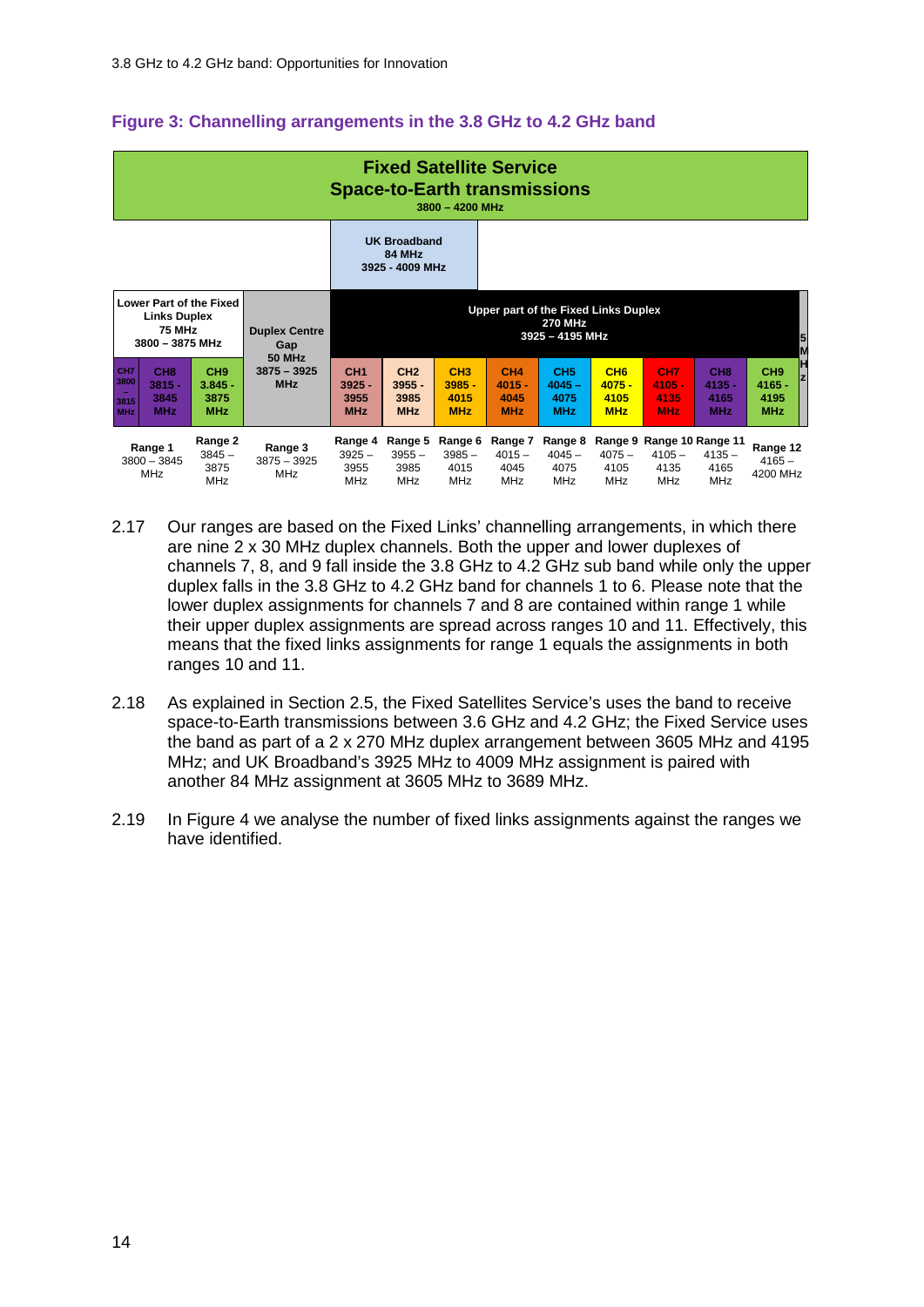#### **Figure 3: Channelling arrangements in the 3.8 GHz to 4.2 GHz band**

| <b>Fixed Satellite Service</b><br><b>Space-to-Earth transmissions</b><br>$3800 - 4200$ MHz                 |                                                   |                                                                           |                                              |                                                   |                                                   |                                                   |                                                   |                                                   |                                                   |                                                   |                                                             |                                                        |
|------------------------------------------------------------------------------------------------------------|---------------------------------------------------|---------------------------------------------------------------------------|----------------------------------------------|---------------------------------------------------|---------------------------------------------------|---------------------------------------------------|---------------------------------------------------|---------------------------------------------------|---------------------------------------------------|---------------------------------------------------|-------------------------------------------------------------|--------------------------------------------------------|
|                                                                                                            |                                                   |                                                                           |                                              |                                                   | <b>UK Broadband</b><br>84 MHz<br>3925 - 4009 MHz  |                                                   |                                                   |                                                   |                                                   |                                                   |                                                             |                                                        |
| Lower Part of the Fixed<br><b>Links Duplex</b><br>75 MHz<br><b>Duplex Centre</b><br>3800 - 3875 MHz<br>Gap |                                                   | Upper part of the Fixed Links Duplex<br><b>270 MHz</b><br>3925 - 4195 MHz |                                              |                                                   |                                                   |                                                   |                                                   |                                                   | $\frac{5}{5}$                                     |                                                   |                                                             |                                                        |
| CH <sub>7</sub><br>3800<br>3815<br><b>MHz</b>                                                              | CH <sub>8</sub><br>$3815 -$<br>3845<br><b>MHz</b> | CH <sub>9</sub><br>$3.845 -$<br>3875<br><b>MHz</b>                        | <b>50 MHz</b><br>$3875 - 3925$<br><b>MHz</b> | CH <sub>1</sub><br>$3925 -$<br>3955<br><b>MHz</b> | CH <sub>2</sub><br>$3955 -$<br>3985<br><b>MHz</b> | CH <sub>3</sub><br>$3985 -$<br>4015<br><b>MHz</b> | CH <sub>4</sub><br>$4015 -$<br>4045<br><b>MHz</b> | CH <sub>5</sub><br>$4045 -$<br>4075<br><b>MHz</b> | CH <sub>6</sub><br>$4075 -$<br>4105<br><b>MHz</b> | CH <sub>7</sub><br>$4105 -$<br>4135<br><b>MHz</b> | CH <sub>8</sub><br>$4135 -$<br>4165<br><b>MHz</b>           | Ħ<br>CH <sub>9</sub><br>$4165 -$<br>4195<br><b>MHz</b> |
|                                                                                                            | Range 1<br>$3800 - 3845$<br><b>MHz</b>            | Range 2<br>$3845 -$<br>3875<br><b>MHz</b>                                 | Range 3<br>3875 - 3925<br><b>MHz</b>         | Range 4<br>$3925 -$<br>3955<br><b>MHz</b>         | Range 5<br>$3955 -$<br>3985<br><b>MHz</b>         | Range 6<br>$3985 -$<br>4015<br><b>MHz</b>         | Range 7<br>$4015 -$<br>4045<br><b>MHz</b>         | Range 8<br>$4045 -$<br>4075<br><b>MHz</b>         | $4075 -$<br>4105<br>MHz                           | $4105 -$<br>4135<br><b>MHz</b>                    | Range 9 Range 10 Range 11<br>$4135 -$<br>4165<br><b>MHz</b> | Range 12<br>$4165 -$<br>4200 MHz                       |

- 2.17 Our ranges are based on the Fixed Links' channelling arrangements, in which there are nine 2 x 30 MHz duplex channels. Both the upper and lower duplexes of channels 7, 8, and 9 fall inside the 3.8 GHz to 4.2 GHz sub band while only the upper duplex falls in the 3.8 GHz to 4.2 GHz band for channels 1 to 6. Please note that the lower duplex assignments for channels 7 and 8 are contained within range 1 while their upper duplex assignments are spread across ranges 10 and 11. Effectively, this means that the fixed links assignments for range 1 equals the assignments in both ranges 10 and 11.
- 2.18 As explained in Section 2.5, the Fixed Satellites Service's uses the band to receive space-to-Earth transmissions between 3.6 GHz and 4.2 GHz; the Fixed Service uses the band as part of a 2 x 270 MHz duplex arrangement between 3605 MHz and 4195 MHz; and UK Broadband's 3925 MHz to 4009 MHz assignment is paired with another 84 MHz assignment at 3605 MHz to 3689 MHz.
- 2.19 In Figure 4 we analyse the number of fixed links assignments against the ranges we have identified.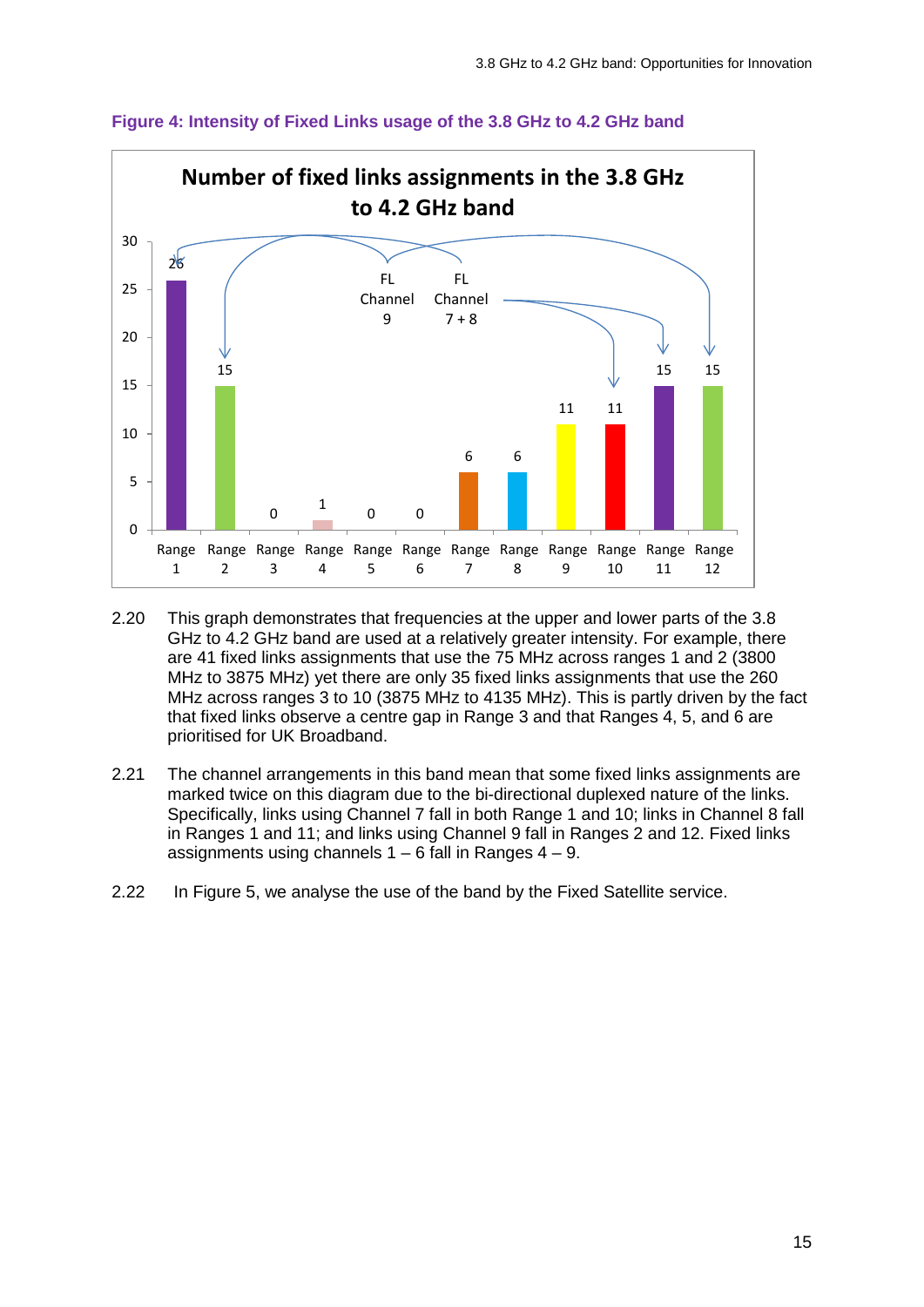

#### **Figure 4: Intensity of Fixed Links usage of the 3.8 GHz to 4.2 GHz band**

- 2.20 This graph demonstrates that frequencies at the upper and lower parts of the 3.8 GHz to 4.2 GHz band are used at a relatively greater intensity. For example, there are 41 fixed links assignments that use the 75 MHz across ranges 1 and 2 (3800 MHz to 3875 MHz) yet there are only 35 fixed links assignments that use the 260 MHz across ranges 3 to 10 (3875 MHz to 4135 MHz). This is partly driven by the fact that fixed links observe a centre gap in Range 3 and that Ranges 4, 5, and 6 are prioritised for UK Broadband.
- 2.21 The channel arrangements in this band mean that some fixed links assignments are marked twice on this diagram due to the bi-directional duplexed nature of the links. Specifically, links using Channel 7 fall in both Range 1 and 10; links in Channel 8 fall in Ranges 1 and 11; and links using Channel 9 fall in Ranges 2 and 12. Fixed links assignments using channels  $1 - 6$  fall in Ranges  $4 - 9$ .
- 2.22 In Figure 5, we analyse the use of the band by the Fixed Satellite service.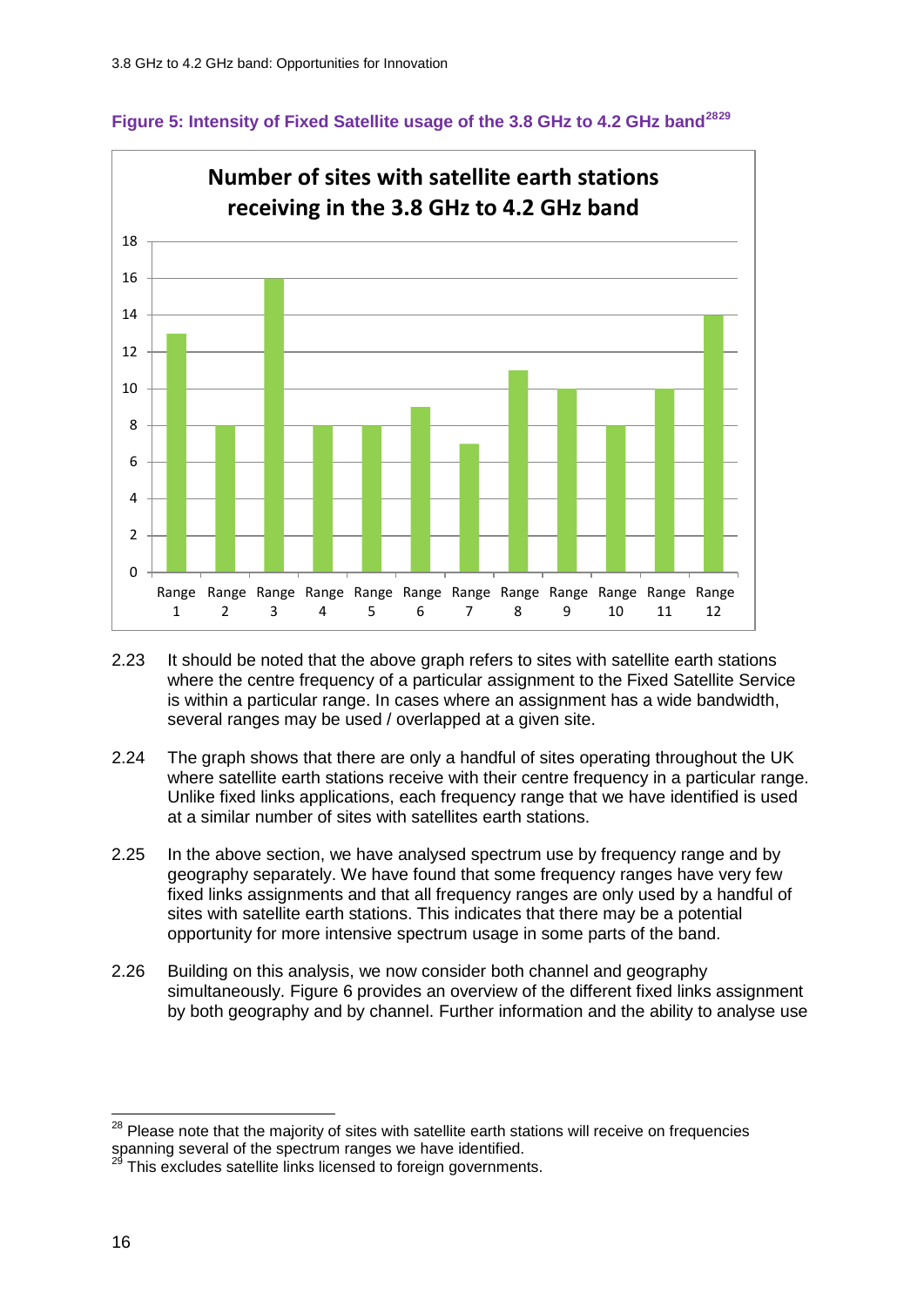



- 2.23 It should be noted that the above graph refers to sites with satellite earth stations where the centre frequency of a particular assignment to the Fixed Satellite Service is within a particular range. In cases where an assignment has a wide bandwidth, several ranges may be used / overlapped at a given site.
- 2.24 The graph shows that there are only a handful of sites operating throughout the UK where satellite earth stations receive with their centre frequency in a particular range. Unlike fixed links applications, each frequency range that we have identified is used at a similar number of sites with satellites earth stations.
- 2.25 In the above section, we have analysed spectrum use by frequency range and by geography separately. We have found that some frequency ranges have very few fixed links assignments and that all frequency ranges are only used by a handful of sites with satellite earth stations. This indicates that there may be a potential opportunity for more intensive spectrum usage in some parts of the band.
- 2.26 Building on this analysis, we now consider both channel and geography simultaneously. Figure 6 provides an overview of the different fixed links assignment by both geography and by channel. Further information and the ability to analyse use

<span id="page-14-0"></span> $28$  Please note that the majority of sites with satellite earth stations will receive on frequencies spanning several of the spectrum ranges we have identified.  $\overline{a}$ 

<span id="page-14-1"></span>This excludes satellite links licensed to foreign governments.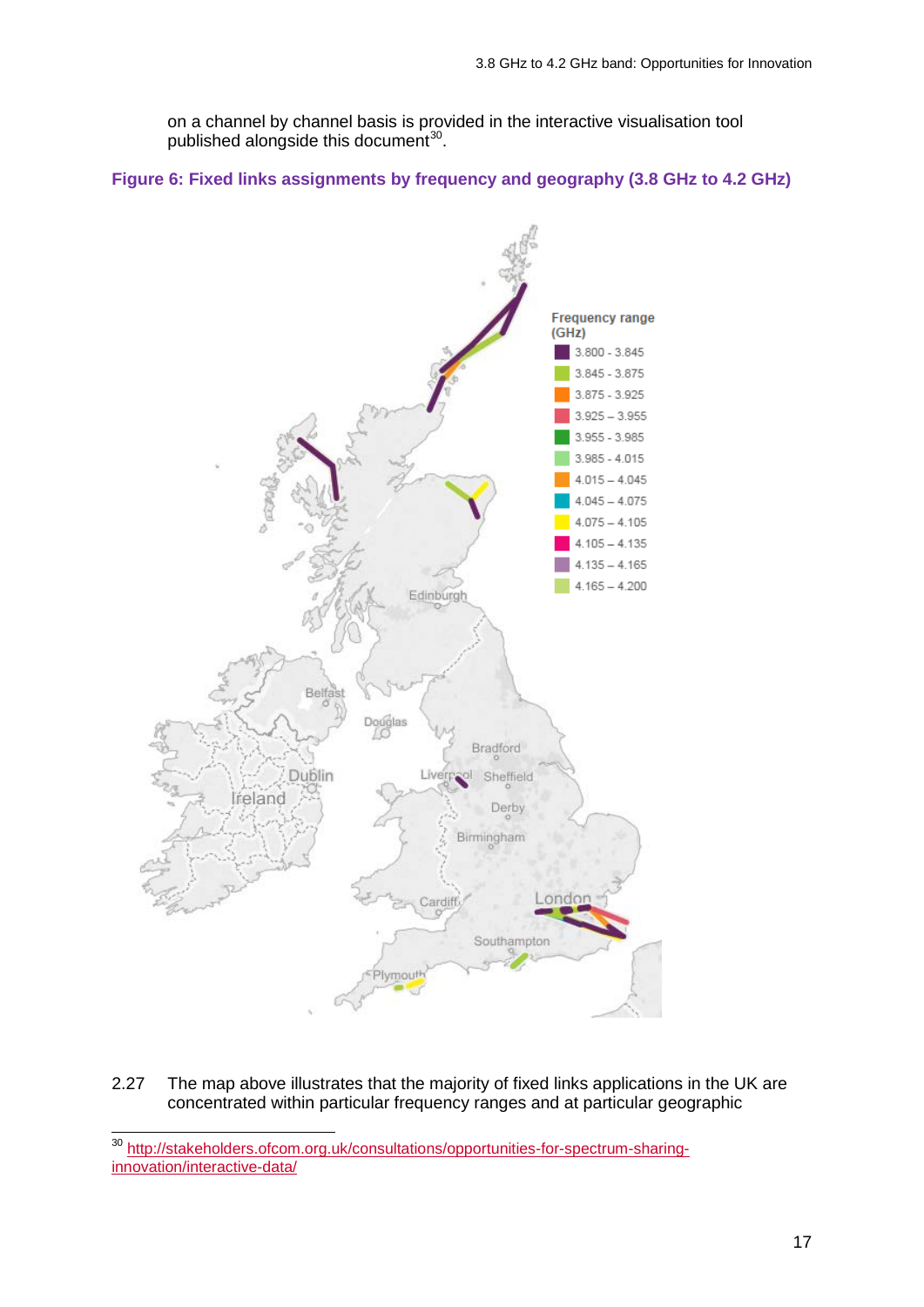on a channel by channel basis is provided in the interactive visualisation tool published alongside this document $30$ .

#### **Figure 6: Fixed links assignments by frequency and geography (3.8 GHz to 4.2 GHz)**



2.27 The map above illustrates that the majority of fixed links applications in the UK are concentrated within particular frequency ranges and at particular geographic

 $\overline{a}$ 

<span id="page-15-0"></span><sup>&</sup>lt;sup>30</sup> [http://stakeholders.ofcom.org.uk/consultations/opportunities-for-spectrum-sharing](http://stakeholders.ofcom.org.uk/consultations/opportunities-for-spectrum-sharing-innovation/interactive-data/)[innovation/interactive-data/](http://stakeholders.ofcom.org.uk/consultations/opportunities-for-spectrum-sharing-innovation/interactive-data/)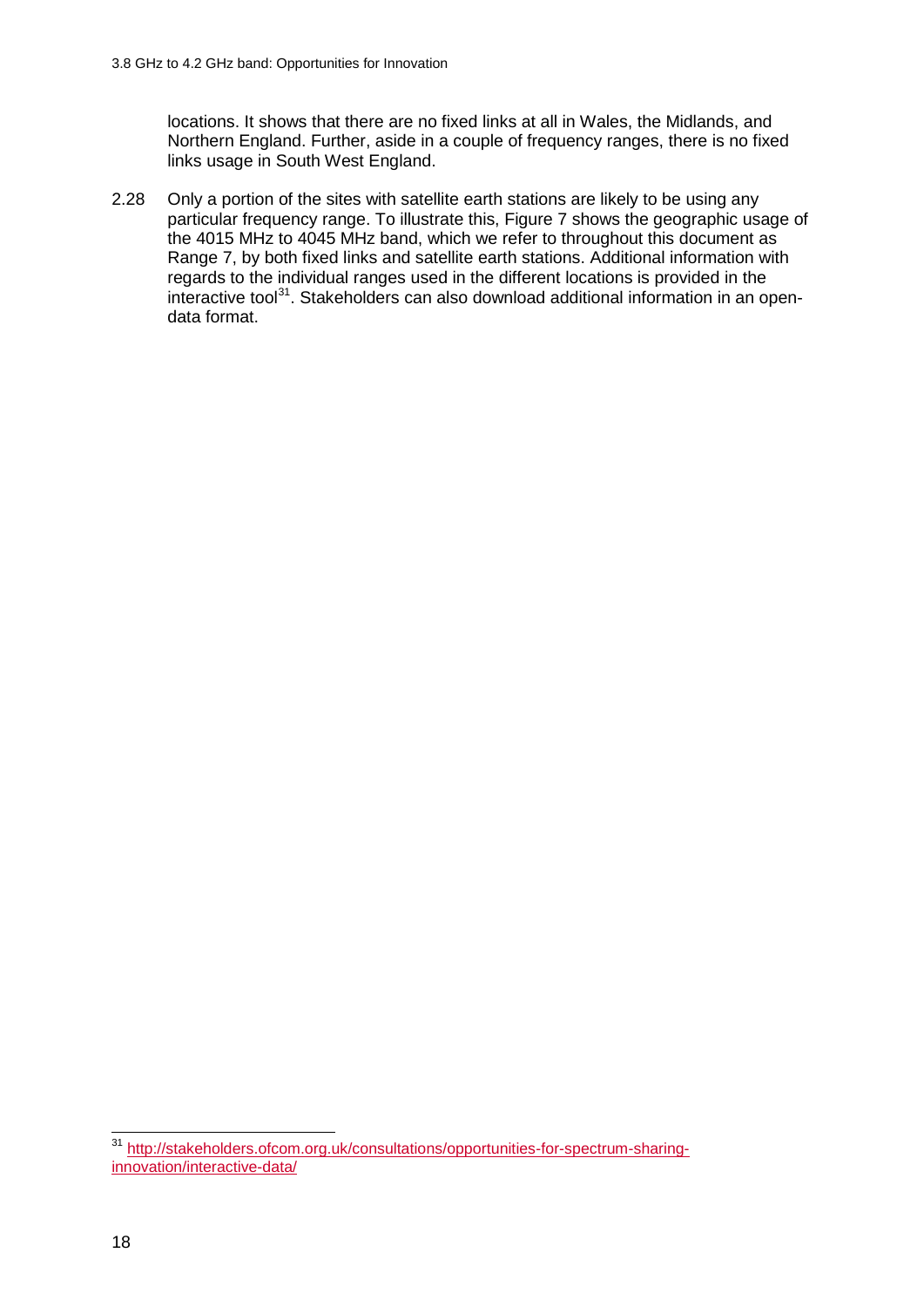locations. It shows that there are no fixed links at all in Wales, the Midlands, and Northern England. Further, aside in a couple of frequency ranges, there is no fixed links usage in South West England.

2.28 Only a portion of the sites with satellite earth stations are likely to be using any particular frequency range. To illustrate this, Figure 7 shows the geographic usage of the 4015 MHz to 4045 MHz band, which we refer to throughout this document as Range 7, by both fixed links and satellite earth stations. Additional information with regards to the individual ranges used in the different locations is provided in the interactive tool<sup>[31](#page-16-0)</sup>. Stakeholders can also download additional information in an opendata format.

<span id="page-16-0"></span><sup>&</sup>lt;sup>31</sup> [http://stakeholders.ofcom.org.uk/consultations/opportunities-for-spectrum-sharing](http://stakeholders.ofcom.org.uk/consultations/opportunities-for-spectrum-sharing-innovation/interactive-data/)[innovation/interactive-data/](http://stakeholders.ofcom.org.uk/consultations/opportunities-for-spectrum-sharing-innovation/interactive-data/)  $\overline{a}$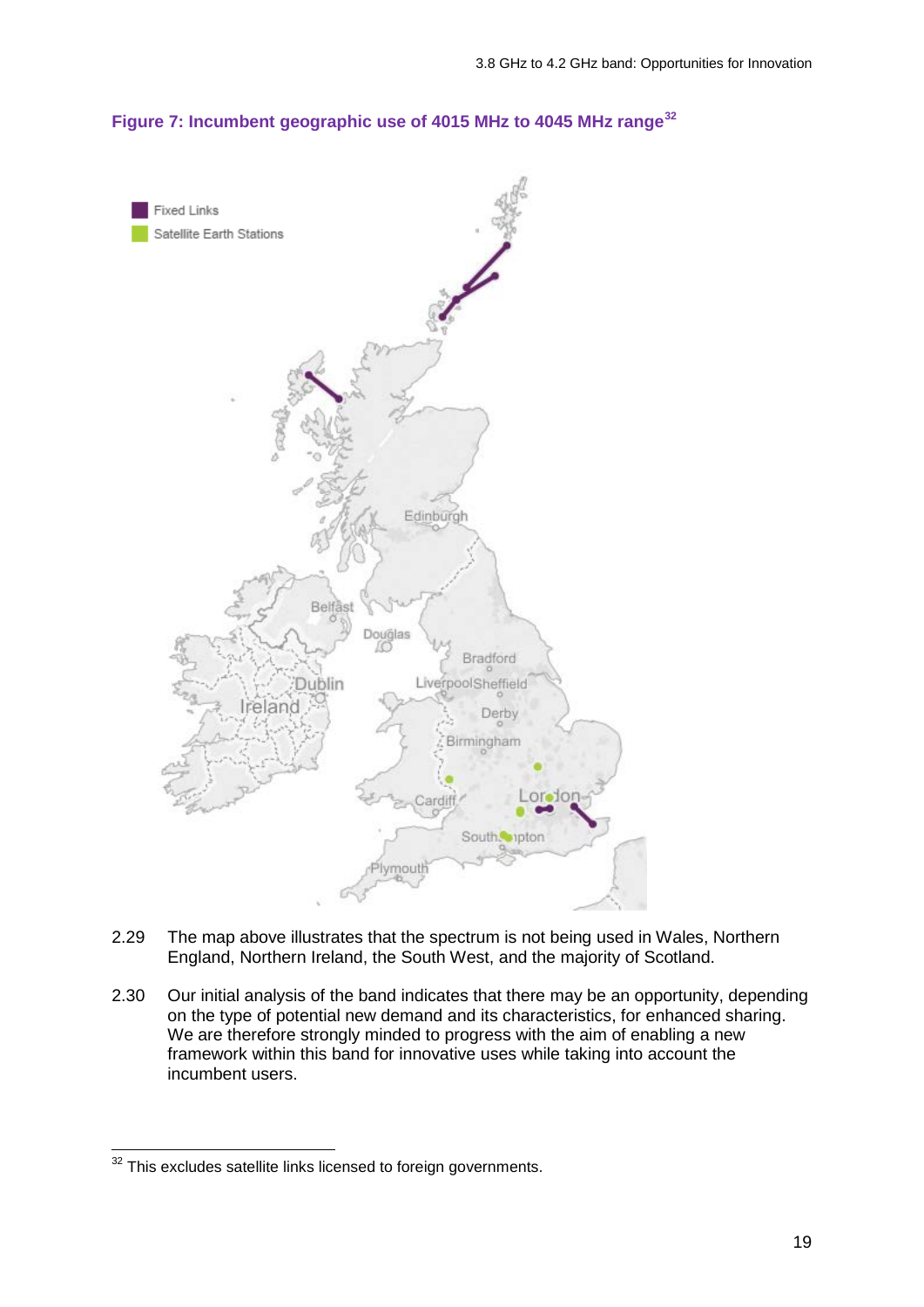#### **Figure 7: Incumbent geographic use of 4015 MHz to 4045 MHz range[32](#page-17-0)**



- 2.29 The map above illustrates that the spectrum is not being used in Wales, Northern England, Northern Ireland, the South West, and the majority of Scotland.
- 2.30 Our initial analysis of the band indicates that there may be an opportunity, depending on the type of potential new demand and its characteristics, for enhanced sharing. We are therefore strongly minded to progress with the aim of enabling a new framework within this band for innovative uses while taking into account the incumbent users.

<span id="page-17-0"></span> $32$  This excludes satellite links licensed to foreign governments.  $\overline{a}$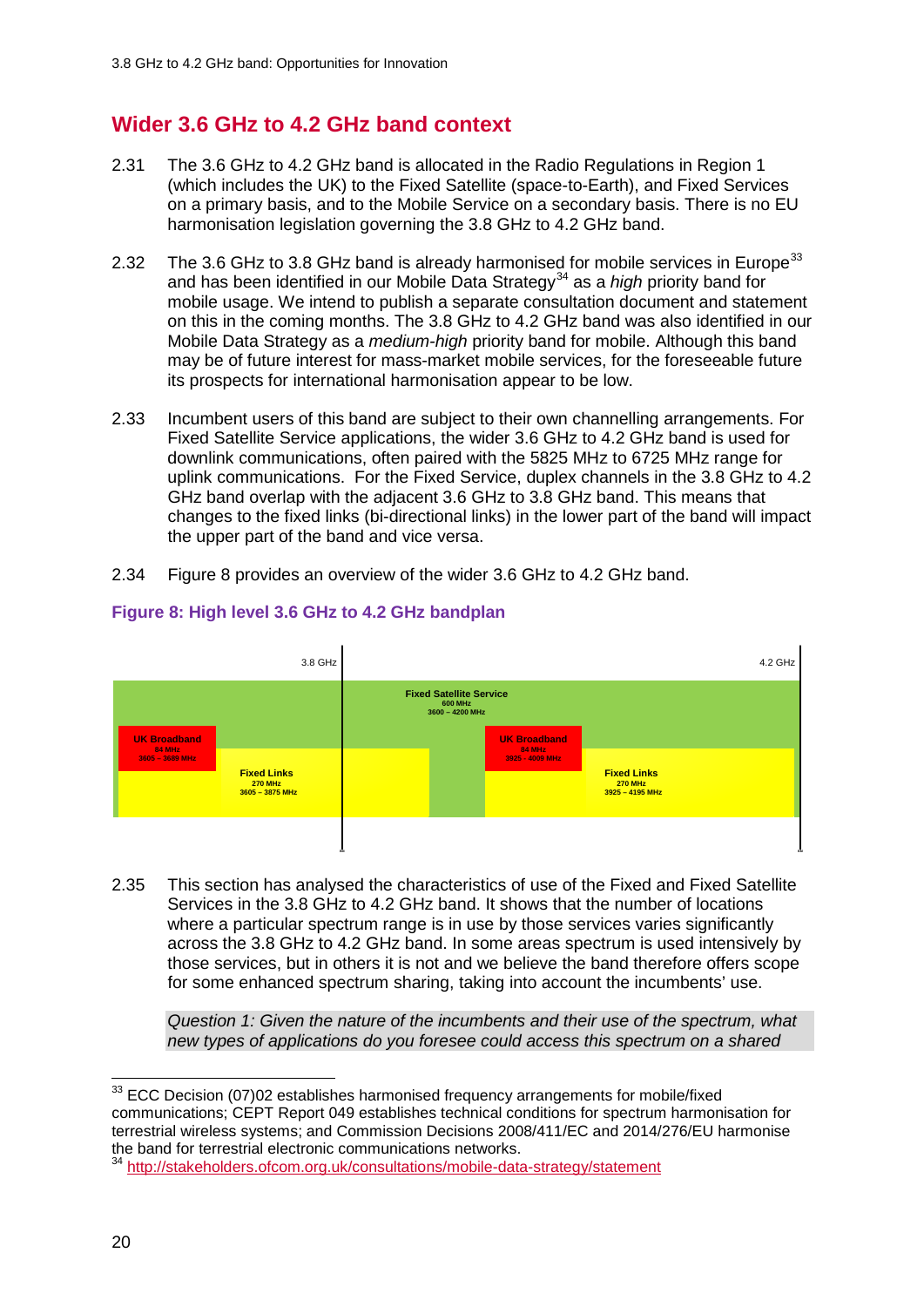## **Wider 3.6 GHz to 4.2 GHz band context**

- 2.31 The 3.6 GHz to 4.2 GHz band is allocated in the Radio Regulations in Region 1 (which includes the UK) to the Fixed Satellite (space-to-Earth), and Fixed Services on a primary basis, and to the Mobile Service on a secondary basis. There is no EU harmonisation legislation governing the 3.8 GHz to 4.2 GHz band.
- 2.32 The 3.6 GHz to 3.8 GHz band is already harmonised for mobile services in Europe<sup>[33](#page-18-0)</sup> and has been identified in our Mobile Data Strategy<sup>[34](#page-18-1)</sup> as a *high* priority band for mobile usage. We intend to publish a separate consultation document and statement on this in the coming months. The 3.8 GHz to 4.2 GHz band was also identified in our Mobile Data Strategy as a *medium-high* priority band for mobile. Although this band may be of future interest for mass-market mobile services, for the foreseeable future its prospects for international harmonisation appear to be low.
- 2.33 Incumbent users of this band are subject to their own channelling arrangements. For Fixed Satellite Service applications, the wider 3.6 GHz to 4.2 GHz band is used for downlink communications, often paired with the 5825 MHz to 6725 MHz range for uplink communications. For the Fixed Service, duplex channels in the 3.8 GHz to 4.2 GHz band overlap with the adjacent 3.6 GHz to 3.8 GHz band. This means that changes to the fixed links (bi-directional links) in the lower part of the band will impact the upper part of the band and vice versa.
- 2.34 Figure 8 provides an overview of the wider 3.6 GHz to 4.2 GHz band.



### **Figure 8: High level 3.6 GHz to 4.2 GHz bandplan**

2.35 This section has analysed the characteristics of use of the Fixed and Fixed Satellite Services in the 3.8 GHz to 4.2 GHz band. It shows that the number of locations where a particular spectrum range is in use by those services varies significantly across the 3.8 GHz to 4.2 GHz band. In some areas spectrum is used intensively by those services, but in others it is not and we believe the band therefore offers scope for some enhanced spectrum sharing, taking into account the incumbents' use.

*Question 1: Given the nature of the incumbents and their use of the spectrum, what new types of applications do you foresee could access this spectrum on a shared* 

<span id="page-18-0"></span> $33$  ECC Decision (07)02 establishes harmonised frequency arrangements for mobile/fixed communications; CEPT Report 049 establishes technical conditions for spectrum harmonisation for terrestrial wireless systems; and Commission Decisions 2008/411/EC and 2014/276/EU harmonise the band for terrestrial electronic communications networks.  $\overline{a}$ 

<span id="page-18-1"></span><sup>34</sup> <http://stakeholders.ofcom.org.uk/consultations/mobile-data-strategy/statement>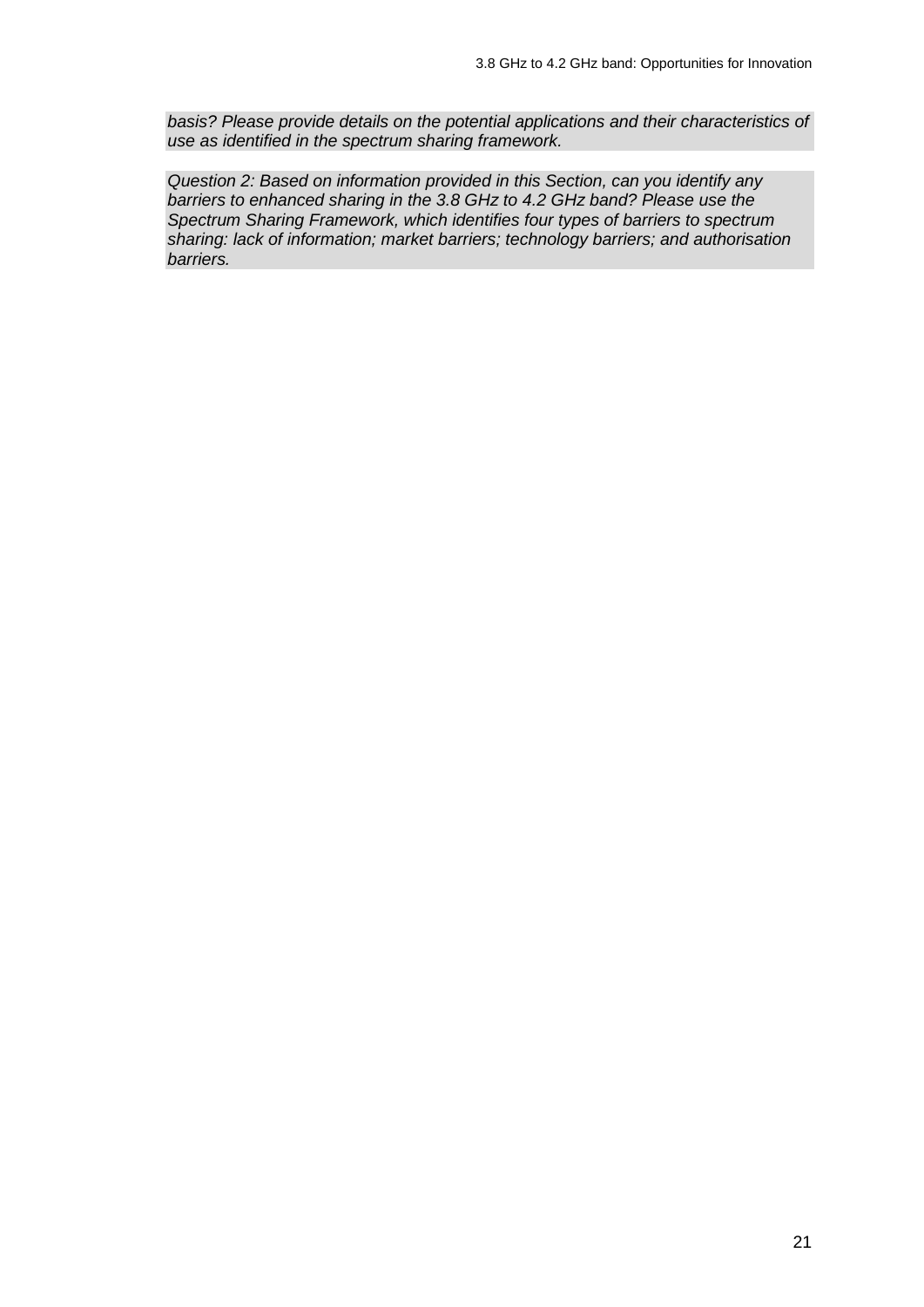*basis? Please provide details on the potential applications and their characteristics of use as identified in the spectrum sharing framework.*

*Question 2: Based on information provided in this Section, can you identify any barriers to enhanced sharing in the 3.8 GHz to 4.2 GHz band? Please use the Spectrum Sharing Framework, which identifies four types of barriers to spectrum sharing: lack of information; market barriers; technology barriers; and authorisation barriers.*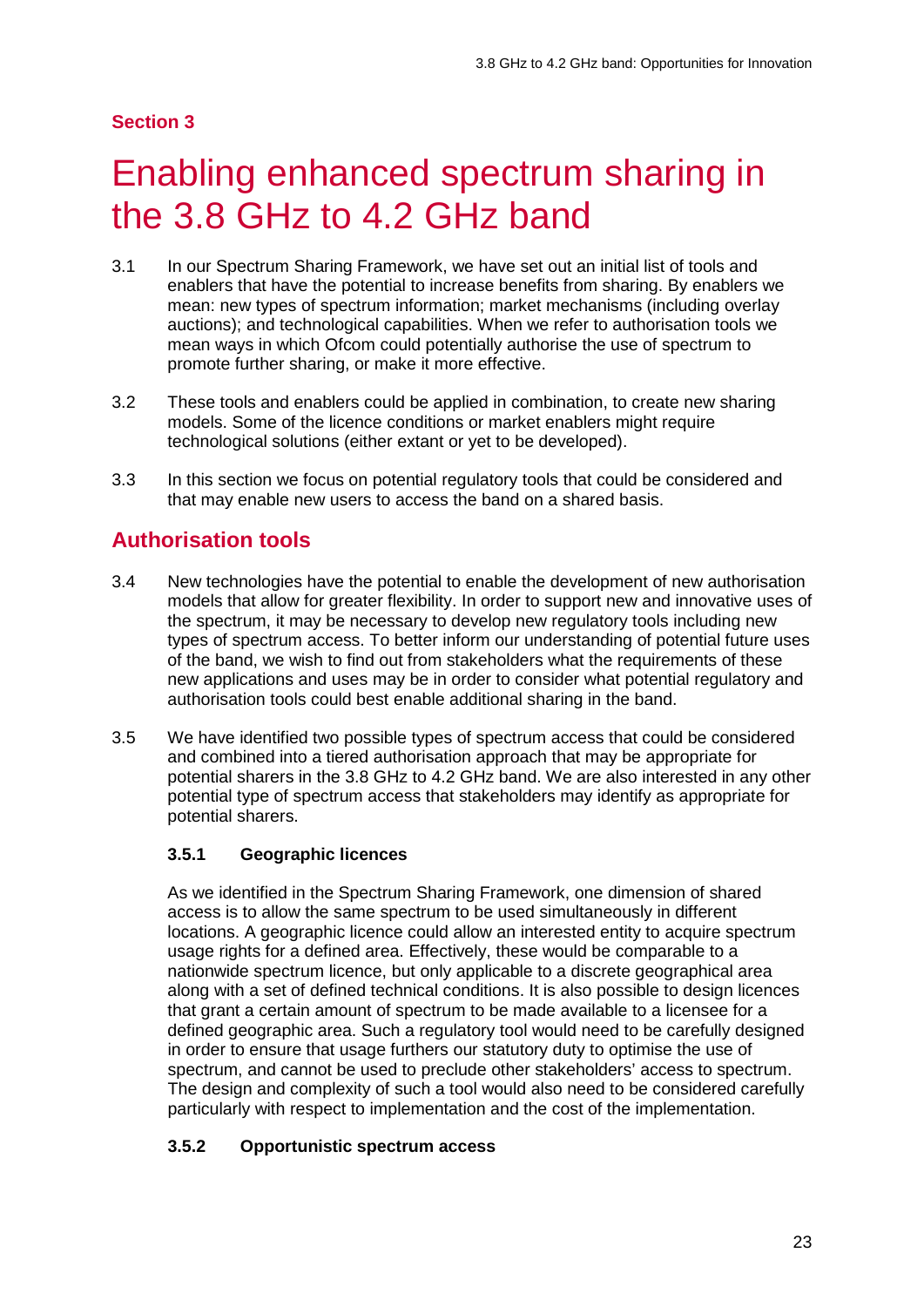#### **Section 3**

# <span id="page-21-0"></span>Enabling enhanced spectrum sharing in the 3.8 GHz to 4.2 GHz band

- 3.1 In our Spectrum Sharing Framework, we have set out an initial list of tools and enablers that have the potential to increase benefits from sharing. By enablers we mean: new types of spectrum information; market mechanisms (including overlay auctions); and technological capabilities. When we refer to authorisation tools we mean ways in which Ofcom could potentially authorise the use of spectrum to promote further sharing, or make it more effective.
- 3.2 These tools and enablers could be applied in combination, to create new sharing models. Some of the licence conditions or market enablers might require technological solutions (either extant or yet to be developed).
- 3.3 In this section we focus on potential regulatory tools that could be considered and that may enable new users to access the band on a shared basis.

### **Authorisation tools**

- 3.4 New technologies have the potential to enable the development of new authorisation models that allow for greater flexibility. In order to support new and innovative uses of the spectrum, it may be necessary to develop new regulatory tools including new types of spectrum access. To better inform our understanding of potential future uses of the band, we wish to find out from stakeholders what the requirements of these new applications and uses may be in order to consider what potential regulatory and authorisation tools could best enable additional sharing in the band.
- 3.5 We have identified two possible types of spectrum access that could be considered and combined into a tiered authorisation approach that may be appropriate for potential sharers in the 3.8 GHz to 4.2 GHz band. We are also interested in any other potential type of spectrum access that stakeholders may identify as appropriate for potential sharers.

#### **3.5.1 Geographic licences**

As we identified in the Spectrum Sharing Framework, one dimension of shared access is to allow the same spectrum to be used simultaneously in different locations. A geographic licence could allow an interested entity to acquire spectrum usage rights for a defined area. Effectively, these would be comparable to a nationwide spectrum licence, but only applicable to a discrete geographical area along with a set of defined technical conditions. It is also possible to design licences that grant a certain amount of spectrum to be made available to a licensee for a defined geographic area. Such a regulatory tool would need to be carefully designed in order to ensure that usage furthers our statutory duty to optimise the use of spectrum, and cannot be used to preclude other stakeholders' access to spectrum. The design and complexity of such a tool would also need to be considered carefully particularly with respect to implementation and the cost of the implementation.

#### **3.5.2 Opportunistic spectrum access**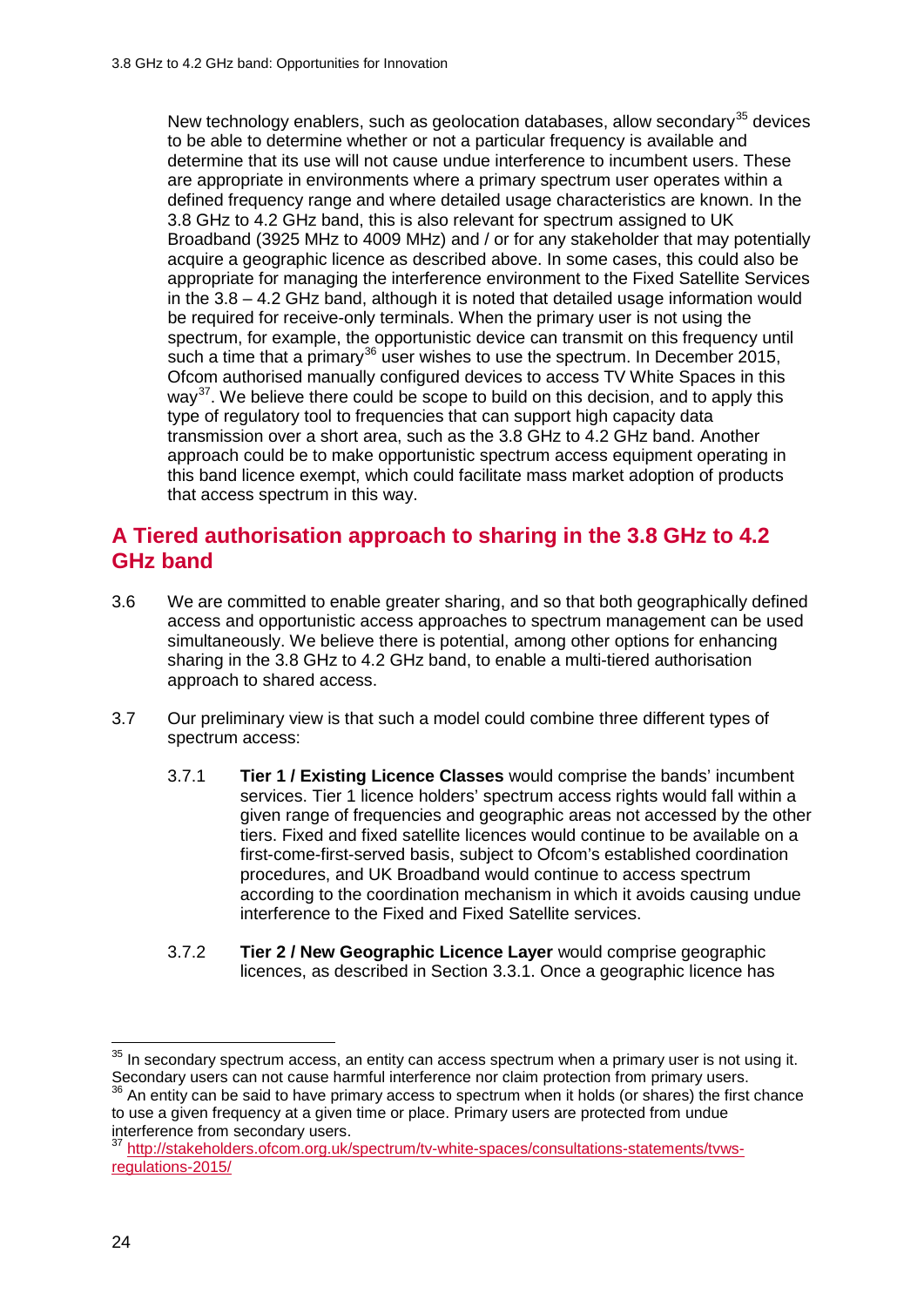New technology enablers, such as geolocation databases, allow secondary<sup>[35](#page-22-0)</sup> devices to be able to determine whether or not a particular frequency is available and determine that its use will not cause undue interference to incumbent users. These are appropriate in environments where a primary spectrum user operates within a defined frequency range and where detailed usage characteristics are known. In the 3.8 GHz to 4.2 GHz band, this is also relevant for spectrum assigned to UK Broadband (3925 MHz to 4009 MHz) and / or for any stakeholder that may potentially acquire a geographic licence as described above. In some cases, this could also be appropriate for managing the interference environment to the Fixed Satellite Services in the 3.8 – 4.2 GHz band, although it is noted that detailed usage information would be required for receive-only terminals. When the primary user is not using the spectrum, for example, the opportunistic device can transmit on this frequency until such a time that a primary<sup>[36](#page-22-1)</sup> user wishes to use the spectrum. In December 2015, Ofcom authorised manually configured devices to access TV White Spaces in this way<sup>37</sup>. We believe there could be scope to build on this decision, and to apply this type of regulatory tool to frequencies that can support high capacity data transmission over a short area, such as the 3.8 GHz to 4.2 GHz band. Another approach could be to make opportunistic spectrum access equipment operating in this band licence exempt, which could facilitate mass market adoption of products that access spectrum in this way.

## **A Tiered authorisation approach to sharing in the 3.8 GHz to 4.2 GHz band**

- 3.6 We are committed to enable greater sharing, and so that both geographically defined access and opportunistic access approaches to spectrum management can be used simultaneously. We believe there is potential, among other options for enhancing sharing in the 3.8 GHz to 4.2 GHz band, to enable a multi-tiered authorisation approach to shared access.
- 3.7 Our preliminary view is that such a model could combine three different types of spectrum access:
	- 3.7.1 **Tier 1 / Existing Licence Classes** would comprise the bands' incumbent services. Tier 1 licence holders' spectrum access rights would fall within a given range of frequencies and geographic areas not accessed by the other tiers. Fixed and fixed satellite licences would continue to be available on a first-come-first-served basis, subject to Ofcom's established coordination procedures, and UK Broadband would continue to access spectrum according to the coordination mechanism in which it avoids causing undue interference to the Fixed and Fixed Satellite services.
	- 3.7.2 **Tier 2 / New Geographic Licence Layer** would comprise geographic licences, as described in Section 3.3.1. Once a geographic licence has

<span id="page-22-0"></span> $35$  In secondary spectrum access, an entity can access spectrum when a primary user is not using it. Secondary users can not cause harmful interference nor claim protection from primary users.<br><sup>36</sup> An entity can be said to have primary access to spectrum when it holds (or shares) the first chance  $\overline{a}$ 

<span id="page-22-1"></span>to use a given frequency at a given time or place. Primary users are protected from undue interference from secondary users.

<span id="page-22-2"></span><sup>37</sup> [http://stakeholders.ofcom.org.uk/spectrum/tv-white-spaces/consultations-statements/tvws](http://stakeholders.ofcom.org.uk/spectrum/tv-white-spaces/consultations-statements/tvws-regulations-2015/)[regulations-2015/](http://stakeholders.ofcom.org.uk/spectrum/tv-white-spaces/consultations-statements/tvws-regulations-2015/)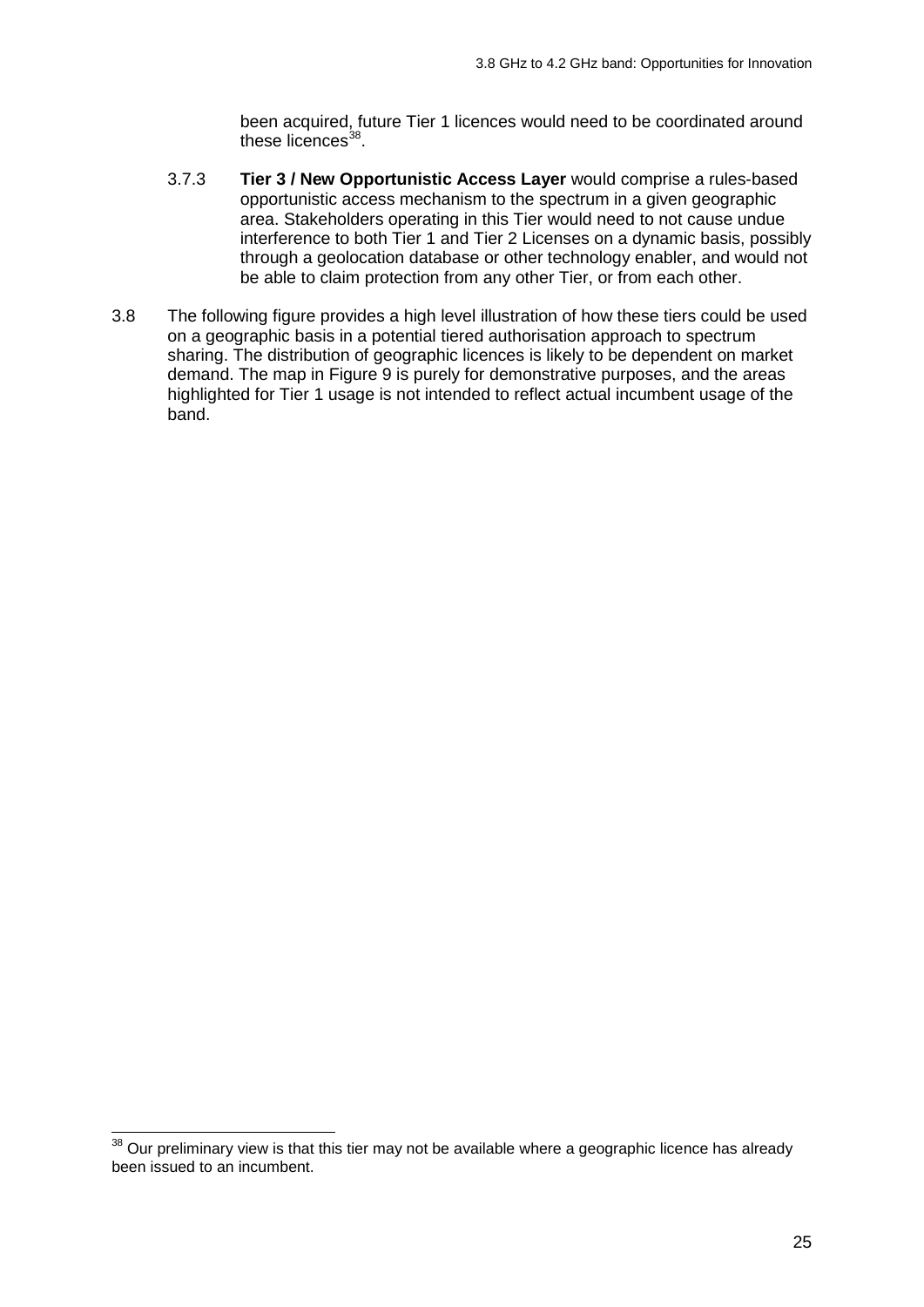been acquired, future Tier 1 licences would need to be coordinated around these licences $38$ .

- 3.7.3 **Tier 3 / New Opportunistic Access Layer** would comprise a rules-based opportunistic access mechanism to the spectrum in a given geographic area. Stakeholders operating in this Tier would need to not cause undue interference to both Tier 1 and Tier 2 Licenses on a dynamic basis, possibly through a geolocation database or other technology enabler, and would not be able to claim protection from any other Tier, or from each other.
- 3.8 The following figure provides a high level illustration of how these tiers could be used on a geographic basis in a potential tiered authorisation approach to spectrum sharing. The distribution of geographic licences is likely to be dependent on market demand. The map in Figure 9 is purely for demonstrative purposes, and the areas highlighted for Tier 1 usage is not intended to reflect actual incumbent usage of the band.

 $\overline{a}$ 

<span id="page-23-0"></span> $38$  Our preliminary view is that this tier may not be available where a geographic licence has already been issued to an incumbent.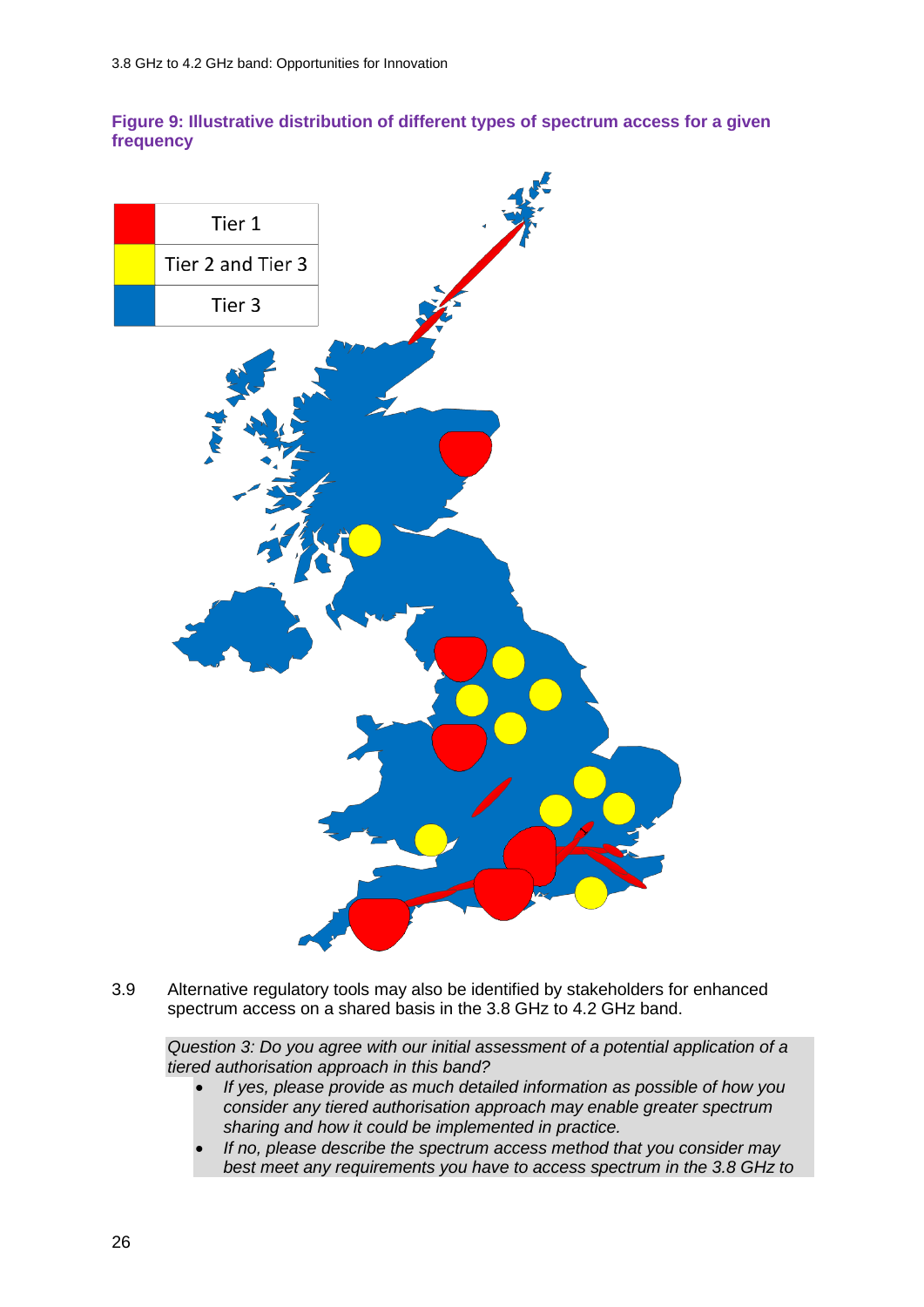#### **Figure 9: Illustrative distribution of different types of spectrum access for a given frequency**



3.9 Alternative regulatory tools may also be identified by stakeholders for enhanced spectrum access on a shared basis in the 3.8 GHz to 4.2 GHz band.

*Question 3: Do you agree with our initial assessment of a potential application of a tiered authorisation approach in this band?* 

- *If yes, please provide as much detailed information as possible of how you consider any tiered authorisation approach may enable greater spectrum sharing and how it could be implemented in practice.*
- *If no, please describe the spectrum access method that you consider may best meet any requirements you have to access spectrum in the 3.8 GHz to*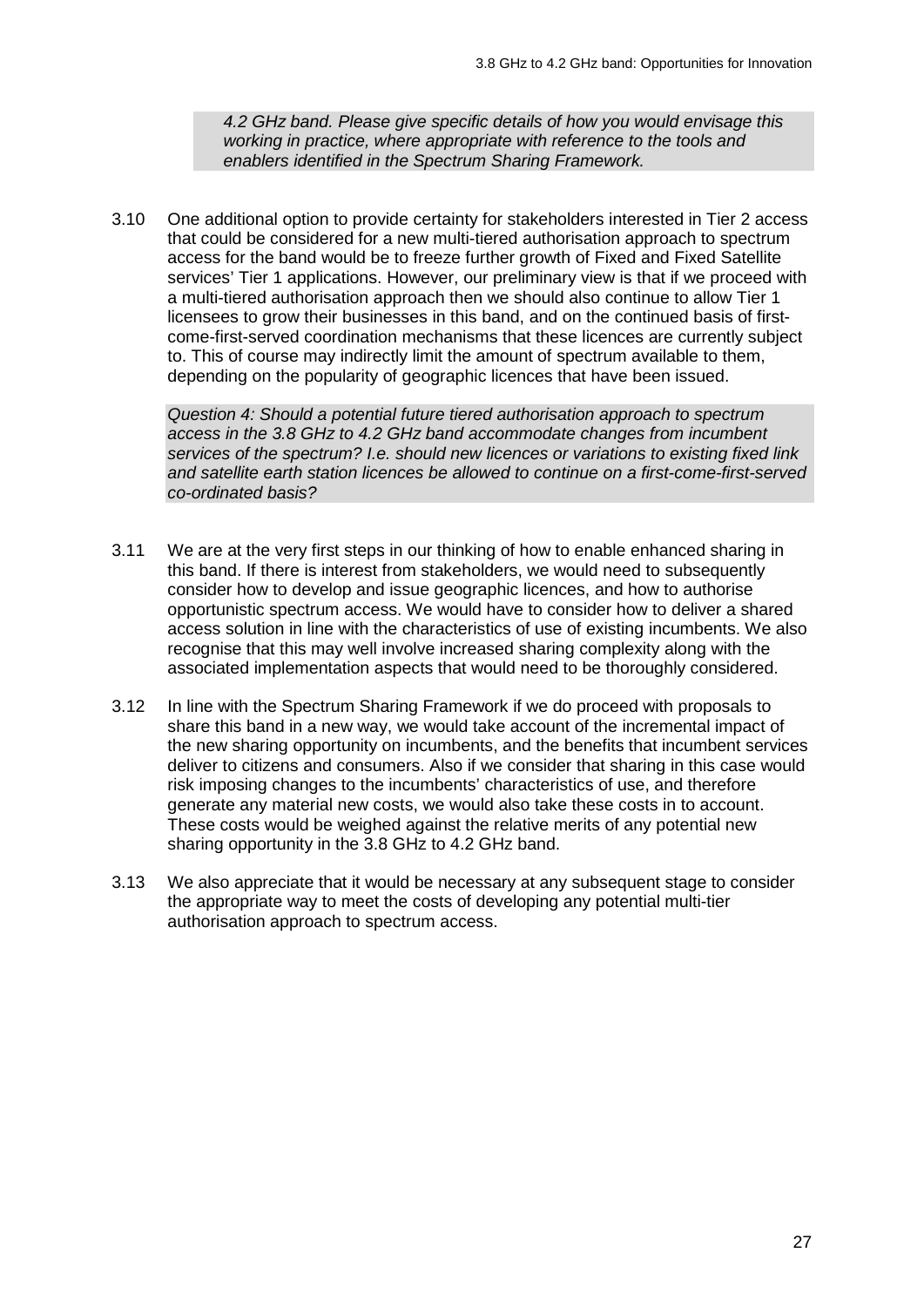*4.2 GHz band. Please give specific details of how you would envisage this working in practice, where appropriate with reference to the tools and enablers identified in the Spectrum Sharing Framework.*

3.10 One additional option to provide certainty for stakeholders interested in Tier 2 access that could be considered for a new multi-tiered authorisation approach to spectrum access for the band would be to freeze further growth of Fixed and Fixed Satellite services' Tier 1 applications. However, our preliminary view is that if we proceed with a multi-tiered authorisation approach then we should also continue to allow Tier 1 licensees to grow their businesses in this band, and on the continued basis of firstcome-first-served coordination mechanisms that these licences are currently subject to. This of course may indirectly limit the amount of spectrum available to them, depending on the popularity of geographic licences that have been issued.

*Question 4: Should a potential future tiered authorisation approach to spectrum access in the 3.8 GHz to 4.2 GHz band accommodate changes from incumbent services of the spectrum? I.e. should new licences or variations to existing fixed link and satellite earth station licences be allowed to continue on a first-come-first-served co-ordinated basis?*

- 3.11 We are at the very first steps in our thinking of how to enable enhanced sharing in this band. If there is interest from stakeholders, we would need to subsequently consider how to develop and issue geographic licences, and how to authorise opportunistic spectrum access. We would have to consider how to deliver a shared access solution in line with the characteristics of use of existing incumbents. We also recognise that this may well involve increased sharing complexity along with the associated implementation aspects that would need to be thoroughly considered.
- 3.12 In line with the Spectrum Sharing Framework if we do proceed with proposals to share this band in a new way, we would take account of the incremental impact of the new sharing opportunity on incumbents, and the benefits that incumbent services deliver to citizens and consumers. Also if we consider that sharing in this case would risk imposing changes to the incumbents' characteristics of use, and therefore generate any material new costs, we would also take these costs in to account. These costs would be weighed against the relative merits of any potential new sharing opportunity in the 3.8 GHz to 4.2 GHz band.
- 3.13 We also appreciate that it would be necessary at any subsequent stage to consider the appropriate way to meet the costs of developing any potential multi-tier authorisation approach to spectrum access.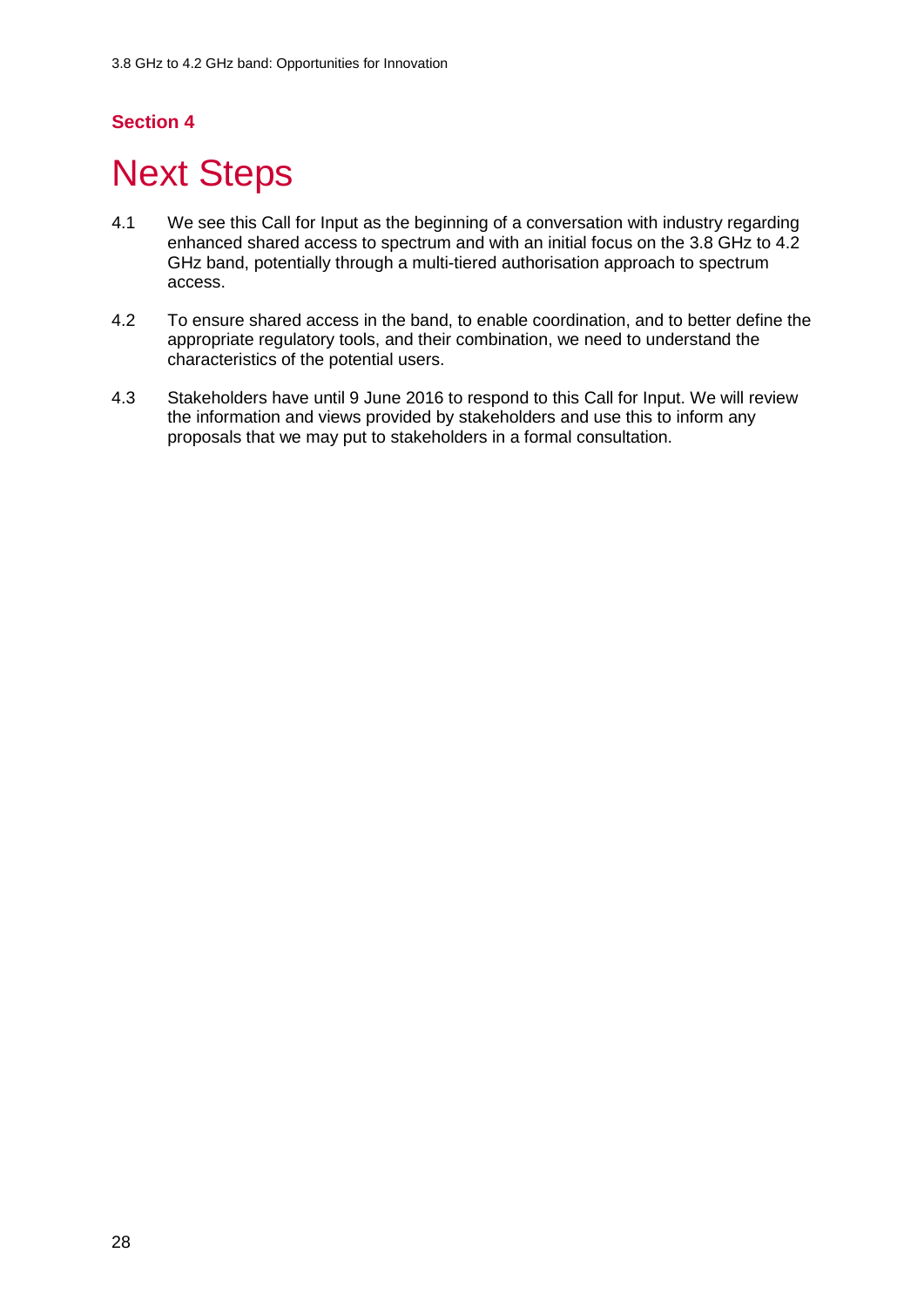## **Section 4**

# <span id="page-26-0"></span>**Next Steps**

- 4.1 We see this Call for Input as the beginning of a conversation with industry regarding enhanced shared access to spectrum and with an initial focus on the 3.8 GHz to 4.2 GHz band, potentially through a multi-tiered authorisation approach to spectrum access.
- 4.2 To ensure shared access in the band, to enable coordination, and to better define the appropriate regulatory tools, and their combination, we need to understand the characteristics of the potential users.
- 4.3 Stakeholders have until 9 June 2016 to respond to this Call for Input. We will review the information and views provided by stakeholders and use this to inform any proposals that we may put to stakeholders in a formal consultation.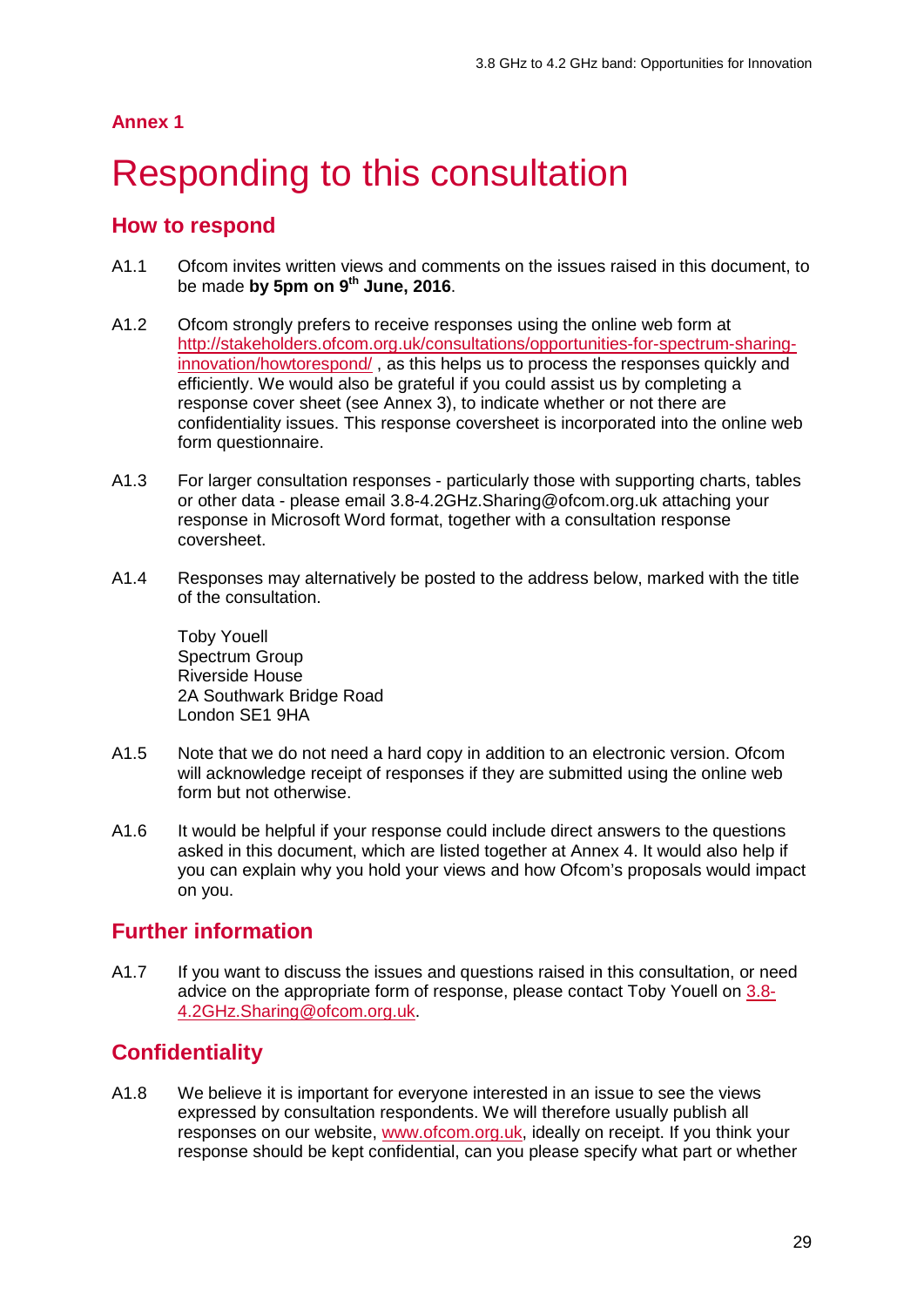#### **Annex 1**

# <span id="page-27-0"></span>Responding to this consultation

### **How to respond**

- A1.1 Ofcom invites written views and comments on the issues raised in this document, to be made **by 5pm on 9th June, 2016**.
- A1.2 Ofcom strongly prefers to receive responses using the online web form at [http://stakeholders.ofcom.org.uk/consultations/opportunities-for-spectrum-sharing](http://stakeholders.ofcom.org.uk/consultations/opportunities-for-spectrum-sharing-innovation/howtorespond/)[innovation/howtorespond/](http://stakeholders.ofcom.org.uk/consultations/opportunities-for-spectrum-sharing-innovation/howtorespond/) , as this helps us to process the responses quickly and efficiently. We would also be grateful if you could assist us by completing a response cover sheet (see Annex 3), to indicate whether or not there are confidentiality issues. This response coversheet is incorporated into the online web form questionnaire.
- A1.3 For larger consultation responses particularly those with supporting charts, tables or other data - please email 3.8-4.2GHz.Sharing@ofcom.org.uk attaching your response in Microsoft Word format, together with a consultation response coversheet.
- A1.4 Responses may alternatively be posted to the address below, marked with the title of the consultation.

Toby Youell Spectrum Group Riverside House 2A Southwark Bridge Road London SE1 9HA

- A1.5 Note that we do not need a hard copy in addition to an electronic version. Ofcom will acknowledge receipt of responses if they are submitted using the online web form but not otherwise.
- A1.6 It would be helpful if your response could include direct answers to the questions asked in this document, which are listed together at Annex 4. It would also help if you can explain why you hold your views and how Ofcom's proposals would impact on you.

## **Further information**

A1.7 If you want to discuss the issues and questions raised in this consultation, or need advice on the appropriate form of response, please contact Toby Youell on [3.8-](mailto:3.8-4.2GHz.Sharing@ofcom.org.uk) [4.2GHz.Sharing@ofcom.org.uk.](mailto:3.8-4.2GHz.Sharing@ofcom.org.uk)

## **Confidentiality**

A1.8 We believe it is important for everyone interested in an issue to see the views expressed by consultation respondents. We will therefore usually publish all responses on our website, [www.ofcom.org.uk,](http://www.ofcom.org.uk/) ideally on receipt. If you think your response should be kept confidential, can you please specify what part or whether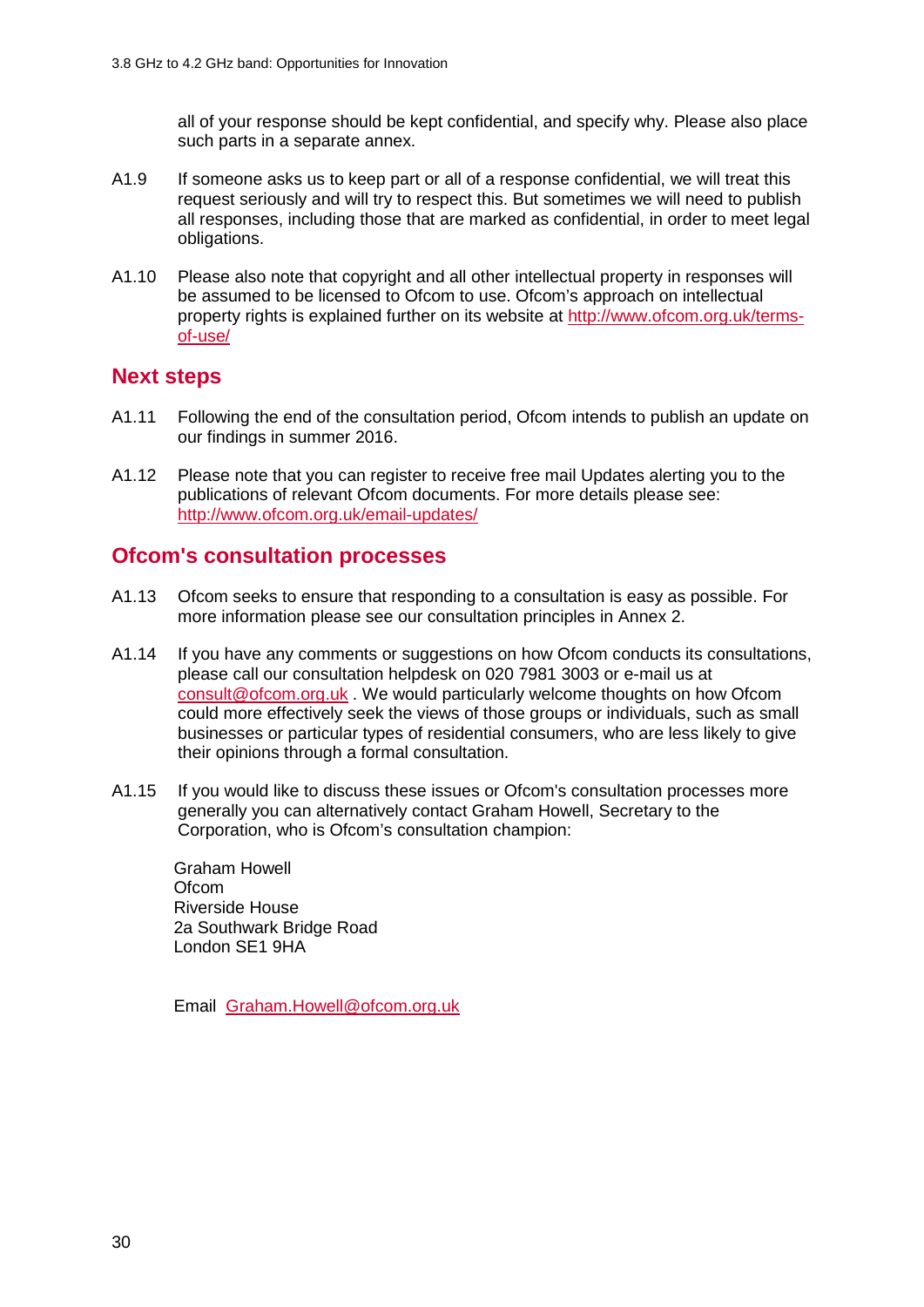all of your response should be kept confidential, and specify why. Please also place such parts in a separate annex.

- A1.9 If someone asks us to keep part or all of a response confidential, we will treat this request seriously and will try to respect this. But sometimes we will need to publish all responses, including those that are marked as confidential, in order to meet legal obligations.
- A1.10 Please also note that copyright and all other intellectual property in responses will be assumed to be licensed to Ofcom to use. Ofcom's approach on intellectual property rights is explained further on its website at [http://www.ofcom.org.uk/terms](http://www.ofcom.org.uk/terms-of-use/)[of-use/](http://www.ofcom.org.uk/terms-of-use/)

### **Next steps**

- A1.11 Following the end of the consultation period, Ofcom intends to publish an update on our findings in summer 2016.
- A1.12 Please note that you can register to receive free mail Updates alerting you to the publications of relevant Ofcom documents. For more details please see: <http://www.ofcom.org.uk/email-updates/>

### **Ofcom's consultation processes**

- A1.13 Ofcom seeks to ensure that responding to a consultation is easy as possible. For more information please see our consultation principles in Annex 2.
- A1.14 If you have any comments or suggestions on how Ofcom conducts its consultations, please call our consultation helpdesk on 020 7981 3003 or e-mail us at [consult@ofcom.org.uk](mailto:consult@ofcom.org.uk) . We would particularly welcome thoughts on how Ofcom could more effectively seek the views of those groups or individuals, such as small businesses or particular types of residential consumers, who are less likely to give their opinions through a formal consultation.
- A1.15 If you would like to discuss these issues or Ofcom's consultation processes more generally you can alternatively contact Graham Howell, Secretary to the Corporation, who is Ofcom's consultation champion:

Graham Howell **Ofcom** Riverside House 2a Southwark Bridge Road London SE1 9HA

Email [Graham.Howell@ofcom.org.uk](mailto:Graham.Howell@ofcom.org.uk)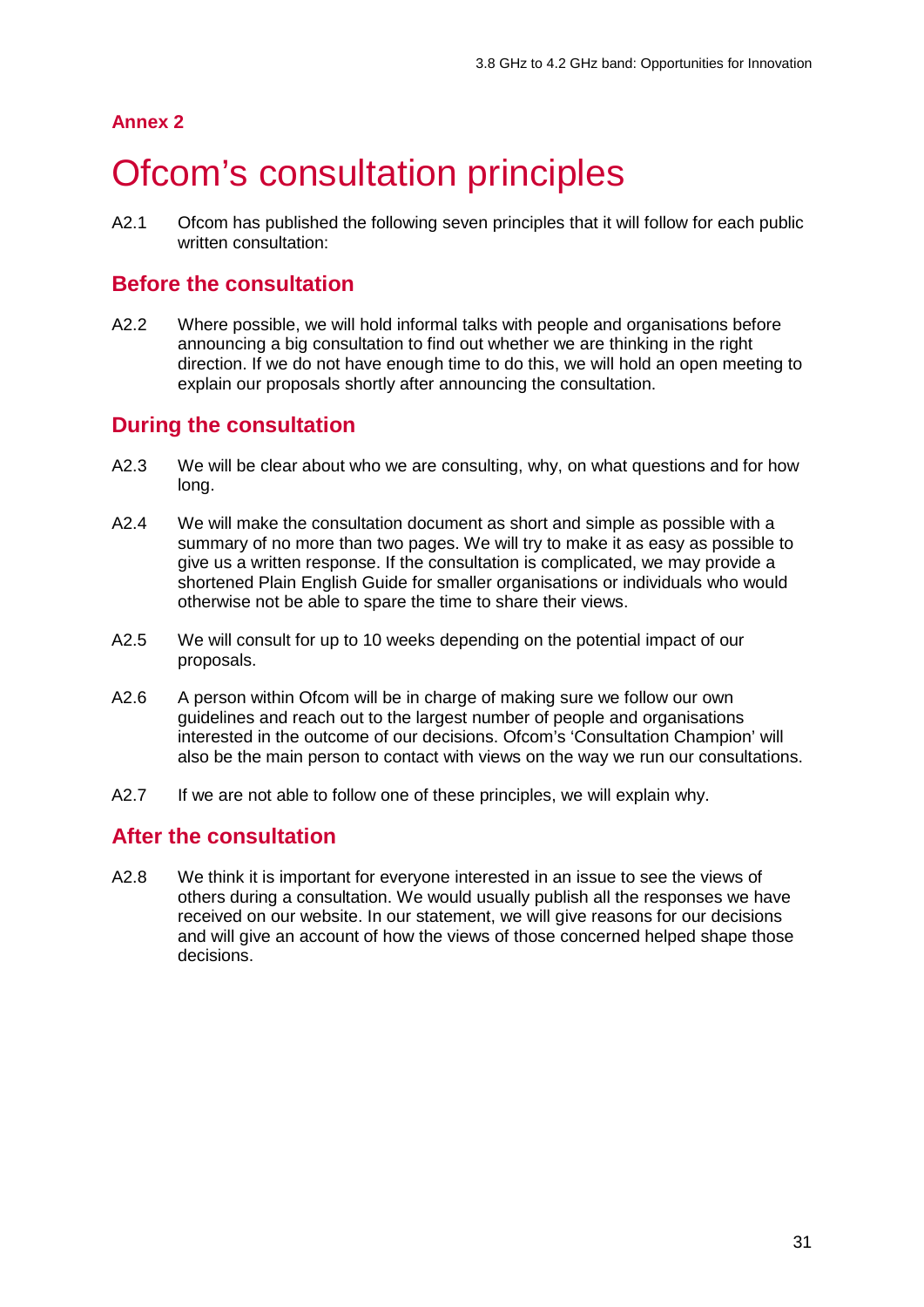#### **Annex 2**

## <span id="page-29-0"></span>**Ofcom's consultation principles**

A2.1 Ofcom has published the following seven principles that it will follow for each public written consultation:

### **Before the consultation**

A2.2 Where possible, we will hold informal talks with people and organisations before announcing a big consultation to find out whether we are thinking in the right direction. If we do not have enough time to do this, we will hold an open meeting to explain our proposals shortly after announcing the consultation.

## **During the consultation**

- A2.3 We will be clear about who we are consulting, why, on what questions and for how long.
- A2.4 We will make the consultation document as short and simple as possible with a summary of no more than two pages. We will try to make it as easy as possible to give us a written response. If the consultation is complicated, we may provide a shortened Plain English Guide for smaller organisations or individuals who would otherwise not be able to spare the time to share their views.
- A2.5 We will consult for up to 10 weeks depending on the potential impact of our proposals.
- A2.6 A person within Ofcom will be in charge of making sure we follow our own guidelines and reach out to the largest number of people and organisations interested in the outcome of our decisions. Ofcom's 'Consultation Champion' will also be the main person to contact with views on the way we run our consultations.
- A2.7 If we are not able to follow one of these principles, we will explain why.

## **After the consultation**

A2.8 We think it is important for everyone interested in an issue to see the views of others during a consultation. We would usually publish all the responses we have received on our website. In our statement, we will give reasons for our decisions and will give an account of how the views of those concerned helped shape those decisions.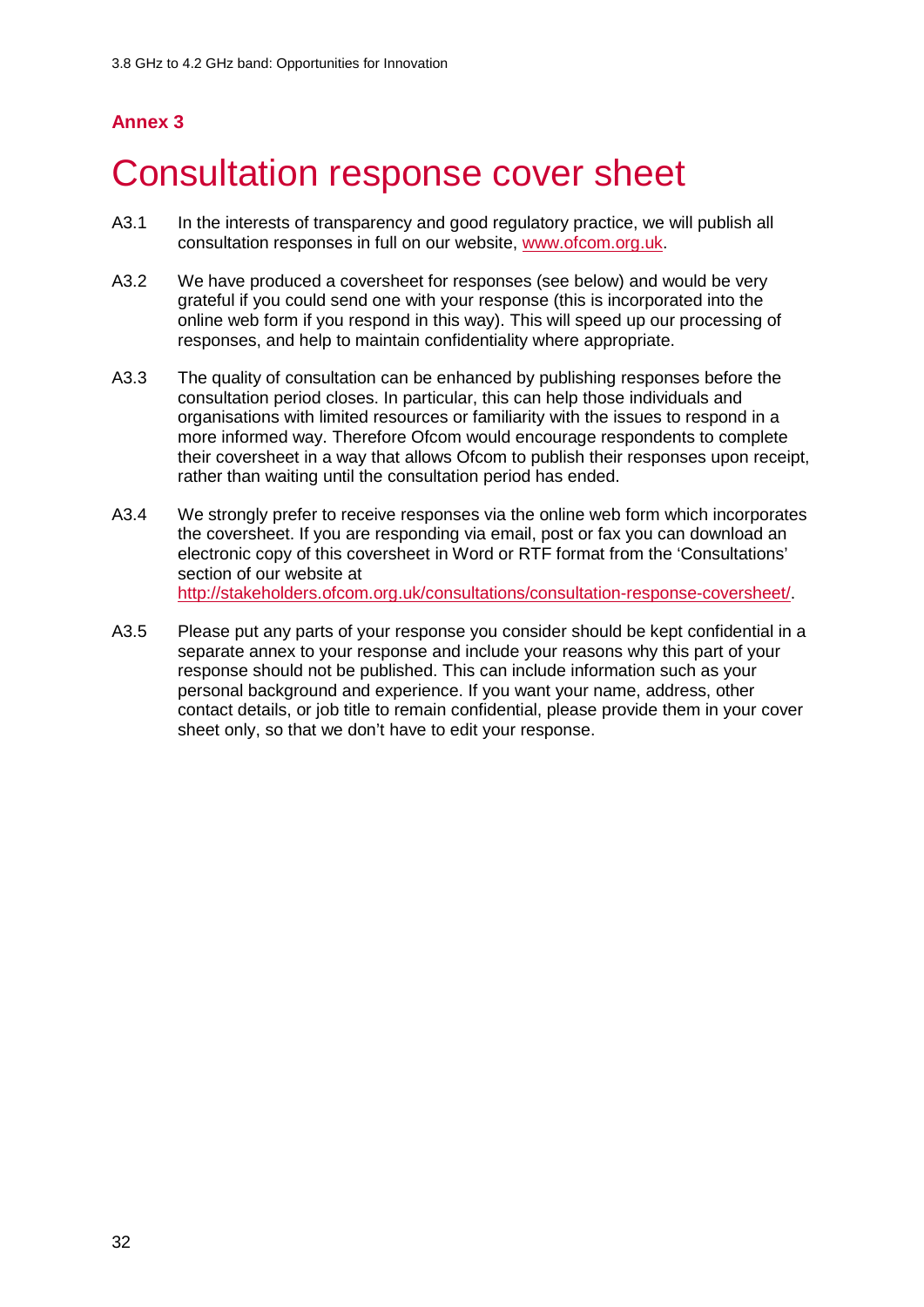## **Annex 3**

# <span id="page-30-0"></span>3 Consultation response cover sheet

- A3.1 In the interests of transparency and good regulatory practice, we will publish all consultation responses in full on our website, [www.ofcom.org.uk.](http://www.ofcom.org.uk/)
- A3.2 We have produced a coversheet for responses (see below) and would be very grateful if you could send one with your response (this is incorporated into the online web form if you respond in this way). This will speed up our processing of responses, and help to maintain confidentiality where appropriate.
- A3.3 The quality of consultation can be enhanced by publishing responses before the consultation period closes. In particular, this can help those individuals and organisations with limited resources or familiarity with the issues to respond in a more informed way. Therefore Ofcom would encourage respondents to complete their coversheet in a way that allows Ofcom to publish their responses upon receipt, rather than waiting until the consultation period has ended.
- A3.4 We strongly prefer to receive responses via the online web form which incorporates the coversheet. If you are responding via email, post or fax you can download an electronic copy of this coversheet in Word or RTF format from the 'Consultations' section of our website at [http://stakeholders.ofcom.org.uk/consultations/consultation-response-coversheet/.](http://stakeholders.ofcom.org.uk/consultations/consultation-response-coversheet/)
- A3.5 Please put any parts of your response you consider should be kept confidential in a separate annex to your response and include your reasons why this part of your response should not be published. This can include information such as your personal background and experience. If you want your name, address, other contact details, or job title to remain confidential, please provide them in your cover sheet only, so that we don't have to edit your response.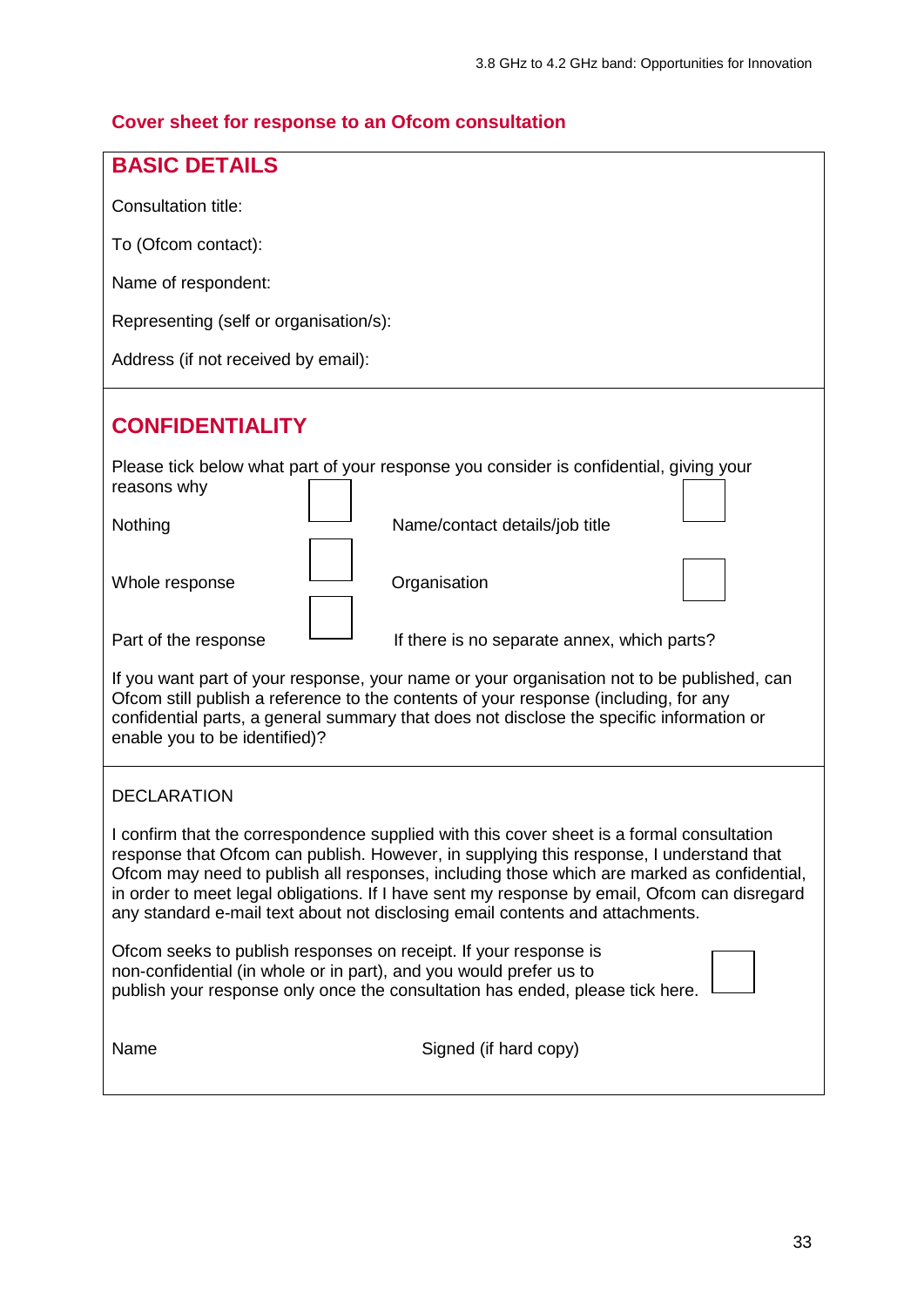## **Cover sheet for response to an Ofcom consultation**

| <b>BASIC DETAILS</b>                                                                                                                                                                                                                                                                                                                                                                                                                                                |  |  |  |  |  |  |  |  |
|---------------------------------------------------------------------------------------------------------------------------------------------------------------------------------------------------------------------------------------------------------------------------------------------------------------------------------------------------------------------------------------------------------------------------------------------------------------------|--|--|--|--|--|--|--|--|
| Consultation title:                                                                                                                                                                                                                                                                                                                                                                                                                                                 |  |  |  |  |  |  |  |  |
|                                                                                                                                                                                                                                                                                                                                                                                                                                                                     |  |  |  |  |  |  |  |  |
| To (Ofcom contact):                                                                                                                                                                                                                                                                                                                                                                                                                                                 |  |  |  |  |  |  |  |  |
| Name of respondent:                                                                                                                                                                                                                                                                                                                                                                                                                                                 |  |  |  |  |  |  |  |  |
| Representing (self or organisation/s):                                                                                                                                                                                                                                                                                                                                                                                                                              |  |  |  |  |  |  |  |  |
| Address (if not received by email):                                                                                                                                                                                                                                                                                                                                                                                                                                 |  |  |  |  |  |  |  |  |
| <b>CONFIDENTIALITY</b>                                                                                                                                                                                                                                                                                                                                                                                                                                              |  |  |  |  |  |  |  |  |
| Please tick below what part of your response you consider is confidential, giving your<br>reasons why                                                                                                                                                                                                                                                                                                                                                               |  |  |  |  |  |  |  |  |
| Nothing<br>Name/contact details/job title                                                                                                                                                                                                                                                                                                                                                                                                                           |  |  |  |  |  |  |  |  |
| Whole response<br>Organisation                                                                                                                                                                                                                                                                                                                                                                                                                                      |  |  |  |  |  |  |  |  |
| Part of the response<br>If there is no separate annex, which parts?                                                                                                                                                                                                                                                                                                                                                                                                 |  |  |  |  |  |  |  |  |
| If you want part of your response, your name or your organisation not to be published, can<br>Ofcom still publish a reference to the contents of your response (including, for any<br>confidential parts, a general summary that does not disclose the specific information or<br>enable you to be identified)?                                                                                                                                                     |  |  |  |  |  |  |  |  |
| <b>DECLARATION</b>                                                                                                                                                                                                                                                                                                                                                                                                                                                  |  |  |  |  |  |  |  |  |
| I confirm that the correspondence supplied with this cover sheet is a formal consultation<br>response that Ofcom can publish. However, in supplying this response, I understand that<br>Ofcom may need to publish all responses, including those which are marked as confidential,<br>in order to meet legal obligations. If I have sent my response by email, Ofcom can disregard<br>any standard e-mail text about not disclosing email contents and attachments. |  |  |  |  |  |  |  |  |
| Ofcom seeks to publish responses on receipt. If your response is<br>non-confidential (in whole or in part), and you would prefer us to<br>publish your response only once the consultation has ended, please tick here.                                                                                                                                                                                                                                             |  |  |  |  |  |  |  |  |
| Signed (if hard copy)<br>Name                                                                                                                                                                                                                                                                                                                                                                                                                                       |  |  |  |  |  |  |  |  |